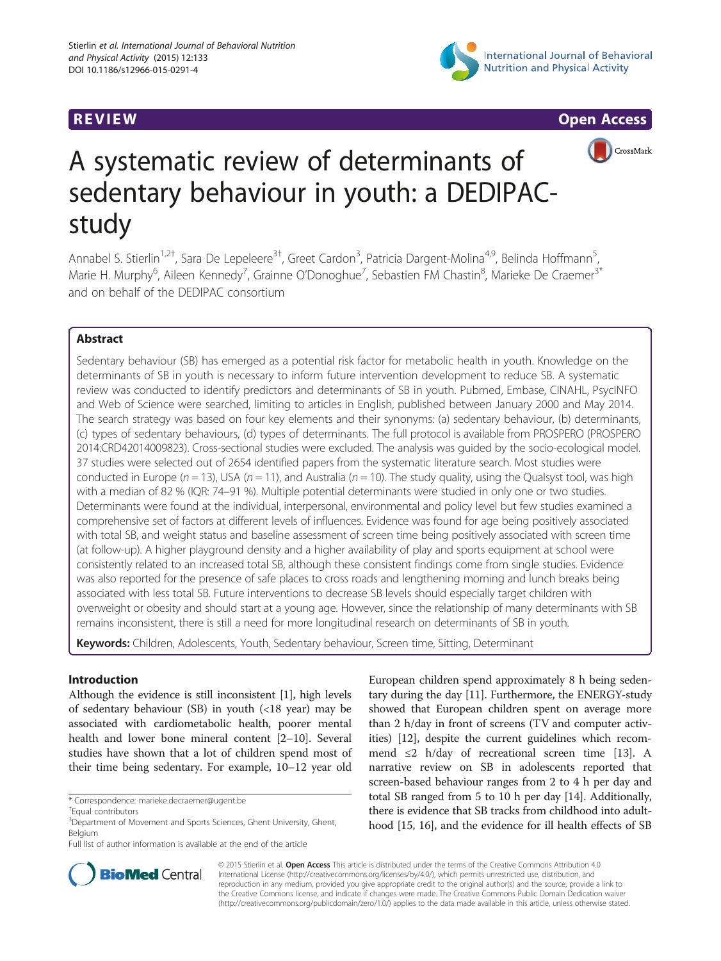# **REVIEW CONSTRUCTION CONSTRUCTION CONSTRUCTS**





CrossMark



Annabel S. Stierlin<sup>1,2†</sup>, Sara De Lepeleere<sup>3†</sup>, Greet Cardon<sup>3</sup>, Patricia Dargent-Molina<sup>4,9</sup>, Belinda Hoffmann<sup>5</sup> , Marie H. Murphy<sup>6</sup>, Aileen Kennedy<sup>7</sup>, Grainne O'Donoghue<sup>7</sup>, Sebastien FM Chastin<sup>8</sup>, Marieke De Craemer<sup>3\*</sup> and on behalf of the DEDIPAC consortium

# Abstract

Sedentary behaviour (SB) has emerged as a potential risk factor for metabolic health in youth. Knowledge on the determinants of SB in youth is necessary to inform future intervention development to reduce SB. A systematic review was conducted to identify predictors and determinants of SB in youth. Pubmed, Embase, CINAHL, PsycINFO and Web of Science were searched, limiting to articles in English, published between January 2000 and May 2014. The search strategy was based on four key elements and their synonyms: (a) sedentary behaviour, (b) determinants, (c) types of sedentary behaviours, (d) types of determinants. The full protocol is available from PROSPERO (PROSPERO 2014:CRD42014009823). Cross-sectional studies were excluded. The analysis was guided by the socio-ecological model. 37 studies were selected out of 2654 identified papers from the systematic literature search. Most studies were conducted in Europe ( $n = 13$ ), USA ( $n = 11$ ), and Australia ( $n = 10$ ). The study quality, using the Qualsyst tool, was high with a median of 82 % (IQR: 74–91 %). Multiple potential determinants were studied in only one or two studies. Determinants were found at the individual, interpersonal, environmental and policy level but few studies examined a comprehensive set of factors at different levels of influences. Evidence was found for age being positively associated with total SB, and weight status and baseline assessment of screen time being positively associated with screen time (at follow-up). A higher playground density and a higher availability of play and sports equipment at school were consistently related to an increased total SB, although these consistent findings come from single studies. Evidence was also reported for the presence of safe places to cross roads and lengthening morning and lunch breaks being associated with less total SB. Future interventions to decrease SB levels should especially target children with overweight or obesity and should start at a young age. However, since the relationship of many determinants with SB remains inconsistent, there is still a need for more longitudinal research on determinants of SB in youth.

Keywords: Children, Adolescents, Youth, Sedentary behaviour, Screen time, Sitting, Determinant

# Introduction

Although the evidence is still inconsistent [\[1](#page-17-0)], high levels of sedentary behaviour (SB) in youth (<18 year) may be associated with cardiometabolic health, poorer mental health and lower bone mineral content [[2](#page-17-0)–[10\]](#page-17-0). Several studies have shown that a lot of children spend most of their time being sedentary. For example, 10–12 year old

\* Correspondence: [marieke.decraemer@ugent.be](mailto:marieke.decraemer@ugent.be) †

European children spend approximately 8 h being sedentary during the day [[11](#page-17-0)]. Furthermore, the ENERGY-study showed that European children spent on average more than 2 h/day in front of screens (TV and computer activities) [[12](#page-17-0)], despite the current guidelines which recommend ≤2 h/day of recreational screen time [\[13\]](#page-17-0). A narrative review on SB in adolescents reported that screen-based behaviour ranges from 2 to 4 h per day and total SB ranged from 5 to 10 h per day [\[14](#page-17-0)]. Additionally, there is evidence that SB tracks from childhood into adulthood [\[15, 16\]](#page-17-0), and the evidence for ill health effects of SB



© 2015 Stierlin et al. Open Access This article is distributed under the terms of the Creative Commons Attribution 4.0 International License [\(http://creativecommons.org/licenses/by/4.0/](http://creativecommons.org/licenses/by/4.0/)), which permits unrestricted use, distribution, and reproduction in any medium, provided you give appropriate credit to the original author(s) and the source, provide a link to the Creative Commons license, and indicate if changes were made. The Creative Commons Public Domain Dedication waiver [\(http://creativecommons.org/publicdomain/zero/1.0/](http://creativecommons.org/publicdomain/zero/1.0/)) applies to the data made available in this article, unless otherwise stated.

Equal contributors

<sup>&</sup>lt;sup>3</sup>Department of Movement and Sports Sciences, Ghent University, Ghent, Belgium

Full list of author information is available at the end of the article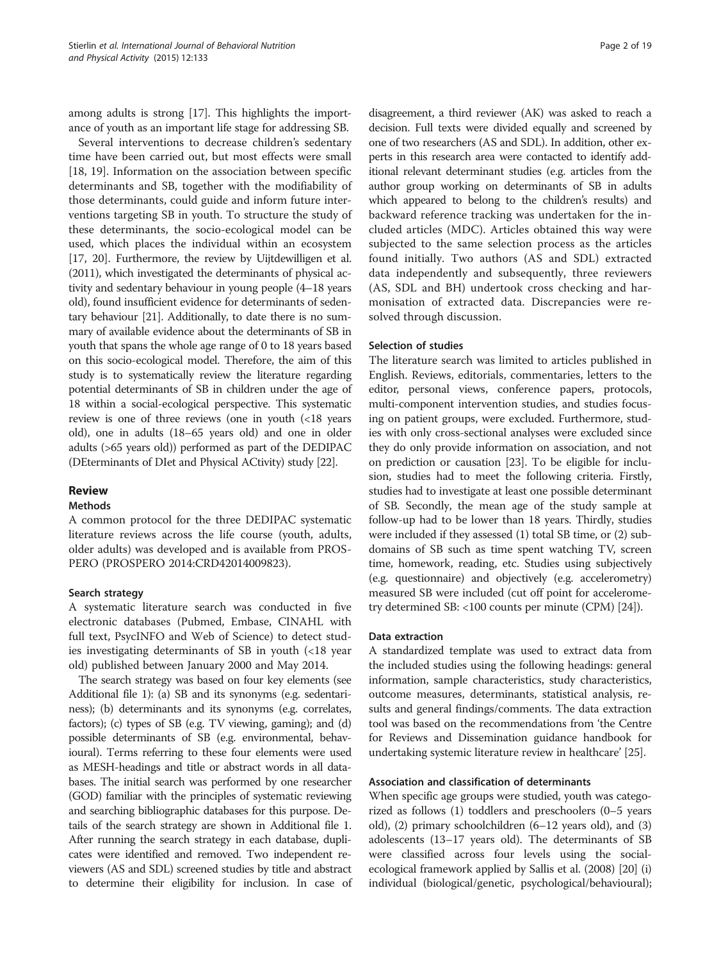among adults is strong [\[17\]](#page-17-0). This highlights the importance of youth as an important life stage for addressing SB.

Several interventions to decrease children's sedentary time have been carried out, but most effects were small [[18, 19\]](#page-17-0). Information on the association between specific determinants and SB, together with the modifiability of those determinants, could guide and inform future interventions targeting SB in youth. To structure the study of these determinants, the socio-ecological model can be used, which places the individual within an ecosystem [[17, 20](#page-17-0)]. Furthermore, the review by Uijtdewilligen et al. (2011), which investigated the determinants of physical activity and sedentary behaviour in young people (4–18 years old), found insufficient evidence for determinants of sedentary behaviour [\[21\]](#page-17-0). Additionally, to date there is no summary of available evidence about the determinants of SB in youth that spans the whole age range of 0 to 18 years based on this socio-ecological model. Therefore, the aim of this study is to systematically review the literature regarding potential determinants of SB in children under the age of 18 within a social-ecological perspective. This systematic review is one of three reviews (one in youth (<18 years old), one in adults (18–65 years old) and one in older adults (>65 years old)) performed as part of the DEDIPAC (DEterminants of DIet and Physical ACtivity) study [[22](#page-17-0)].

### Review

### Methods

A common protocol for the three DEDIPAC systematic literature reviews across the life course (youth, adults, older adults) was developed and is available from PROS-PERO (PROSPERO 2014:CRD42014009823).

# Search strategy

A systematic literature search was conducted in five electronic databases (Pubmed, Embase, CINAHL with full text, PsycINFO and Web of Science) to detect studies investigating determinants of SB in youth (<18 year old) published between January 2000 and May 2014.

The search strategy was based on four key elements (see Additional file [1\)](#page-16-0): (a) SB and its synonyms (e.g. sedentariness); (b) determinants and its synonyms (e.g. correlates, factors); (c) types of SB (e.g. TV viewing, gaming); and (d) possible determinants of SB (e.g. environmental, behavioural). Terms referring to these four elements were used as MESH-headings and title or abstract words in all databases. The initial search was performed by one researcher (GOD) familiar with the principles of systematic reviewing and searching bibliographic databases for this purpose. Details of the search strategy are shown in Additional file [1](#page-16-0). After running the search strategy in each database, duplicates were identified and removed. Two independent reviewers (AS and SDL) screened studies by title and abstract to determine their eligibility for inclusion. In case of disagreement, a third reviewer (AK) was asked to reach a decision. Full texts were divided equally and screened by one of two researchers (AS and SDL). In addition, other experts in this research area were contacted to identify additional relevant determinant studies (e.g. articles from the author group working on determinants of SB in adults which appeared to belong to the children's results) and backward reference tracking was undertaken for the included articles (MDC). Articles obtained this way were subjected to the same selection process as the articles found initially. Two authors (AS and SDL) extracted data independently and subsequently, three reviewers (AS, SDL and BH) undertook cross checking and harmonisation of extracted data. Discrepancies were resolved through discussion.

### Selection of studies

The literature search was limited to articles published in English. Reviews, editorials, commentaries, letters to the editor, personal views, conference papers, protocols, multi-component intervention studies, and studies focusing on patient groups, were excluded. Furthermore, studies with only cross-sectional analyses were excluded since they do only provide information on association, and not on prediction or causation [[23](#page-17-0)]. To be eligible for inclusion, studies had to meet the following criteria. Firstly, studies had to investigate at least one possible determinant of SB. Secondly, the mean age of the study sample at follow-up had to be lower than 18 years. Thirdly, studies were included if they assessed (1) total SB time, or (2) subdomains of SB such as time spent watching TV, screen time, homework, reading, etc. Studies using subjectively (e.g. questionnaire) and objectively (e.g. accelerometry) measured SB were included (cut off point for accelerometry determined SB: <100 counts per minute (CPM) [\[24](#page-17-0)]).

### Data extraction

A standardized template was used to extract data from the included studies using the following headings: general information, sample characteristics, study characteristics, outcome measures, determinants, statistical analysis, results and general findings/comments. The data extraction tool was based on the recommendations from 'the Centre for Reviews and Dissemination guidance handbook for undertaking systemic literature review in healthcare' [\[25\]](#page-17-0).

# Association and classification of determinants

When specific age groups were studied, youth was categorized as follows (1) toddlers and preschoolers (0–5 years old), (2) primary schoolchildren (6–12 years old), and (3) adolescents (13–17 years old). The determinants of SB were classified across four levels using the socialecological framework applied by Sallis et al. (2008) [\[20\]](#page-17-0) (i) individual (biological/genetic, psychological/behavioural);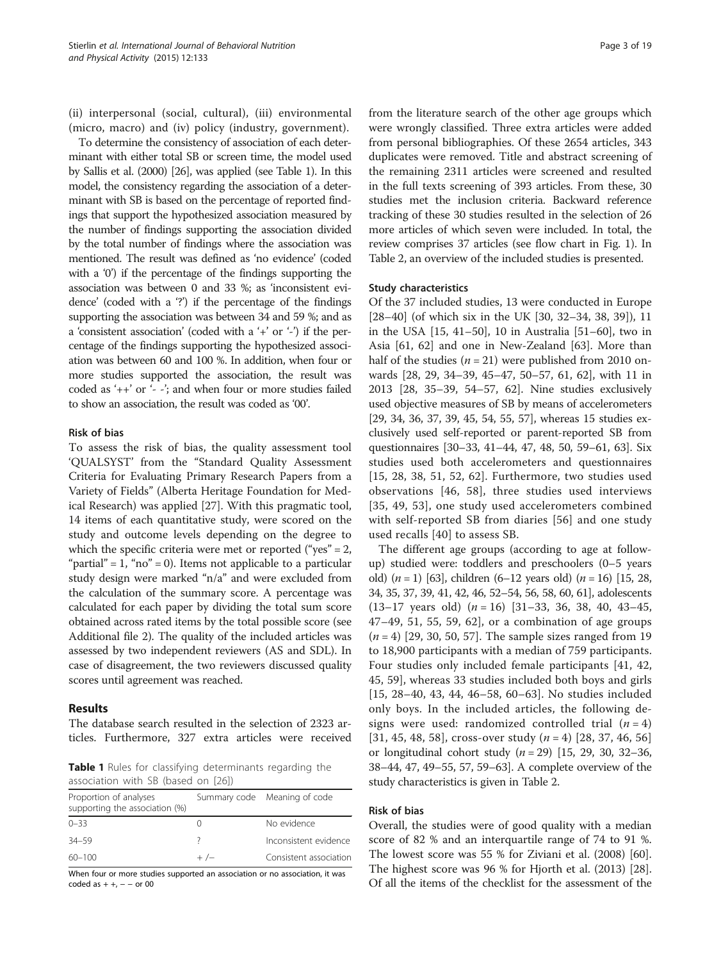(ii) interpersonal (social, cultural), (iii) environmental (micro, macro) and (iv) policy (industry, government).

To determine the consistency of association of each determinant with either total SB or screen time, the model used by Sallis et al. (2000) [\[26\]](#page-17-0), was applied (see Table 1). In this model, the consistency regarding the association of a determinant with SB is based on the percentage of reported findings that support the hypothesized association measured by the number of findings supporting the association divided by the total number of findings where the association was mentioned. The result was defined as 'no evidence' (coded with a '0') if the percentage of the findings supporting the association was between 0 and 33 %; as 'inconsistent evidence' (coded with a '?') if the percentage of the findings supporting the association was between 34 and 59 %; and as a 'consistent association' (coded with a '+' or '-') if the percentage of the findings supporting the hypothesized association was between 60 and 100 %. In addition, when four or more studies supported the association, the result was coded as '++' or '- -'; and when four or more studies failed to show an association, the result was coded as '00'.

### Risk of bias

To assess the risk of bias, the quality assessment tool 'QUALSYST' from the "Standard Quality Assessment Criteria for Evaluating Primary Research Papers from a Variety of Fields" (Alberta Heritage Foundation for Medical Research) was applied [\[27](#page-17-0)]. With this pragmatic tool, 14 items of each quantitative study, were scored on the study and outcome levels depending on the degree to which the specific criteria were met or reported ("yes" = 2, "partial" = 1, "no" = 0). Items not applicable to a particular study design were marked "n/a" and were excluded from the calculation of the summary score. A percentage was calculated for each paper by dividing the total sum score obtained across rated items by the total possible score (see Additional file [2](#page-16-0)). The quality of the included articles was assessed by two independent reviewers (AS and SDL). In case of disagreement, the two reviewers discussed quality scores until agreement was reached.

### Results

The database search resulted in the selection of 2323 articles. Furthermore, 327 extra articles were received

Table 1 Rules for classifying determinants regarding the association with SB (based on [[26\]](#page-17-0))

| Proportion of analyses<br>supporting the association (%) | Summary code Meaning of code |
|----------------------------------------------------------|------------------------------|
| $0 - 33$                                                 | No evidence                  |
| $34 - 59$                                                | Inconsistent evidence        |
| $60 - 100$                                               | Consistent association       |

When four or more studies supported an association or no association, it was coded as  $++$ ,  $-$  – or 00

from the literature search of the other age groups which were wrongly classified. Three extra articles were added from personal bibliographies. Of these 2654 articles, 343 duplicates were removed. Title and abstract screening of the remaining 2311 articles were screened and resulted in the full texts screening of 393 articles. From these, 30 studies met the inclusion criteria. Backward reference tracking of these 30 studies resulted in the selection of 26 more articles of which seven were included. In total, the review comprises 37 articles (see flow chart in Fig. [1](#page-3-0)). In Table [2,](#page-4-0) an overview of the included studies is presented.

### Study characteristics

Of the 37 included studies, 13 were conducted in Europe [[28](#page-17-0)–[40](#page-18-0)] (of which six in the UK [\[30, 32](#page-18-0)–[34](#page-18-0), [38](#page-18-0), [39\]](#page-18-0)), 11 in the USA [[15,](#page-17-0) [41](#page-18-0)–[50\]](#page-18-0), 10 in Australia [\[51](#page-18-0)–[60\]](#page-18-0), two in Asia [[61, 62\]](#page-18-0) and one in New-Zealand [[63\]](#page-18-0). More than half of the studies  $(n = 21)$  were published from 2010 onwards [[28](#page-17-0), [29,](#page-17-0) [34](#page-18-0)–[39](#page-18-0), [45](#page-18-0)–[47, 50](#page-18-0)–[57](#page-18-0), [61, 62](#page-18-0)], with 11 in 2013 [\[28](#page-17-0), [35](#page-18-0)–[39](#page-18-0), [54](#page-18-0)–[57, 62](#page-18-0)]. Nine studies exclusively used objective measures of SB by means of accelerometers [[29](#page-17-0), [34, 36, 37, 39, 45, 54, 55, 57\]](#page-18-0), whereas 15 studies exclusively used self-reported or parent-reported SB from questionnaires [\[30](#page-18-0)–[33](#page-18-0), [41](#page-18-0)–[44](#page-18-0), [47, 48, 50](#page-18-0), [59](#page-18-0)–[61, 63](#page-18-0)]. Six studies used both accelerometers and questionnaires [[15, 28,](#page-17-0) [38, 51, 52, 62](#page-18-0)]. Furthermore, two studies used observations [\[46, 58\]](#page-18-0), three studies used interviews [[35](#page-18-0), [49, 53\]](#page-18-0), one study used accelerometers combined with self-reported SB from diaries [[56](#page-18-0)] and one study used recalls [[40](#page-18-0)] to assess SB.

The different age groups (according to age at followup) studied were: toddlers and preschoolers (0–5 years old)  $(n = 1)$  [\[63](#page-18-0)], children (6–12 years old)  $(n = 16)$  [\[15, 28](#page-17-0), [34](#page-18-0), [35](#page-18-0), [37, 39, 41](#page-18-0), [42](#page-18-0), [46, 52](#page-18-0)–[54, 56](#page-18-0), [58](#page-18-0), [60, 61\]](#page-18-0), adolescents  $(13-17 \text{ years old})$   $(n = 16)$   $[31-33, 36, 38, 40, 43-45,$  $[31-33, 36, 38, 40, 43-45,$  $[31-33, 36, 38, 40, 43-45,$  $[31-33, 36, 38, 40, 43-45,$  $[31-33, 36, 38, 40, 43-45,$  $[31-33, 36, 38, 40, 43-45,$  $[31-33, 36, 38, 40, 43-45,$  $[31-33, 36, 38, 40, 43-45,$  $[31-33, 36, 38, 40, 43-45,$  $[31-33, 36, 38, 40, 43-45,$  $[31-33, 36, 38, 40, 43-45,$  $[31-33, 36, 38, 40, 43-45,$  $[31-33, 36, 38, 40, 43-45,$ [47](#page-18-0)–[49, 51, 55, 59, 62\]](#page-18-0), or a combination of age groups  $(n = 4)$  [\[29](#page-17-0), [30, 50, 57\]](#page-18-0). The sample sizes ranged from 19 to 18,900 participants with a median of 759 participants. Four studies only included female participants [\[41](#page-18-0), [42](#page-18-0), [45, 59](#page-18-0)], whereas 33 studies included both boys and girls [[15, 28](#page-17-0)–[40, 43](#page-18-0), [44, 46](#page-18-0)–[58](#page-18-0), [60](#page-18-0)–[63](#page-18-0)]. No studies included only boys. In the included articles, the following designs were used: randomized controlled trial  $(n = 4)$ [[31](#page-18-0), [45, 48](#page-18-0), [58](#page-18-0)], cross-over study  $(n = 4)$  [[28](#page-17-0), [37, 46, 56](#page-18-0)] or longitudinal cohort study ( $n = 29$  $n = 29$ ) [[15](#page-17-0), 29, [30](#page-18-0), [32](#page-18-0)–[36](#page-18-0), [38](#page-18-0)–[44, 47](#page-18-0), [49](#page-18-0)–[55, 57](#page-18-0), [59](#page-18-0)–[63](#page-18-0)]. A complete overview of the study characteristics is given in Table [2](#page-4-0).

### Risk of bias

Overall, the studies were of good quality with a median score of 82 % and an interquartile range of 74 to 91 %. The lowest score was 55 % for Ziviani et al. (2008) [\[60](#page-18-0)]. The highest score was 96 % for Hjorth et al. (2013) [\[28](#page-17-0)]. Of all the items of the checklist for the assessment of the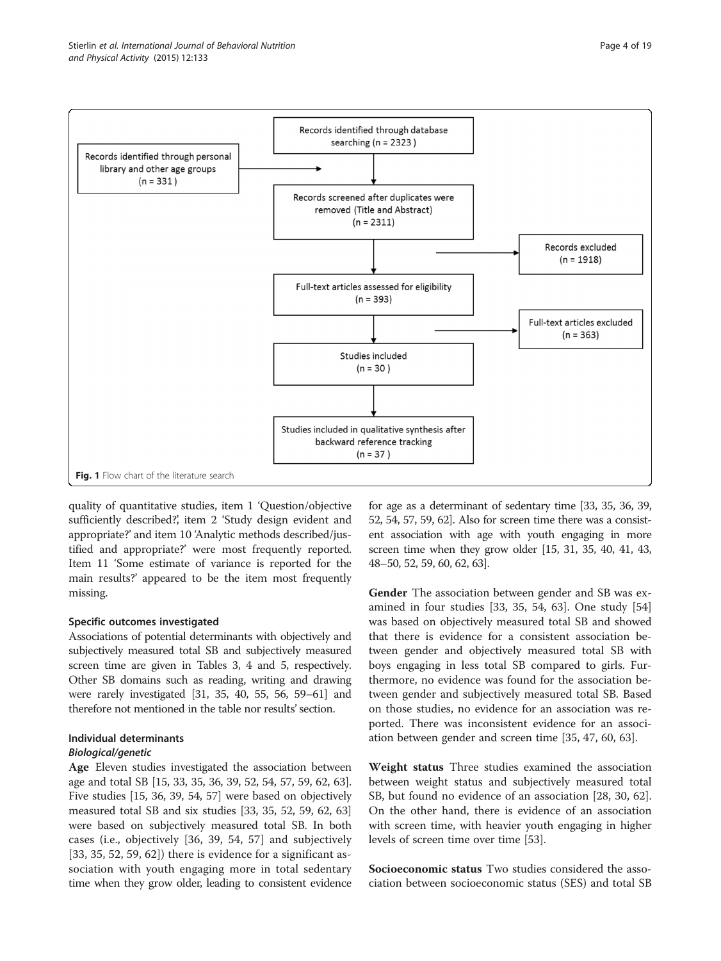<span id="page-3-0"></span>

quality of quantitative studies, item 1 'Question/objective sufficiently described?', item 2 'Study design evident and appropriate?' and item 10 'Analytic methods described/justified and appropriate?' were most frequently reported. Item 11 'Some estimate of variance is reported for the main results?' appeared to be the item most frequently missing.

### Specific outcomes investigated

Associations of potential determinants with objectively and subjectively measured total SB and subjectively measured screen time are given in Tables [3,](#page-8-0) [4](#page-12-0) and [5,](#page-13-0) respectively. Other SB domains such as reading, writing and drawing were rarely investigated [\[31, 35](#page-18-0), [40](#page-18-0), [55, 56](#page-18-0), [59](#page-18-0)–[61\]](#page-18-0) and therefore not mentioned in the table nor results'section.

# Individual determinants

Age Eleven studies investigated the association between age and total SB [\[15](#page-17-0), [33, 35, 36](#page-18-0), [39](#page-18-0), [52, 54](#page-18-0), [57](#page-18-0), [59, 62, 63](#page-18-0)]. Five studies [\[15,](#page-17-0) [36, 39, 54, 57](#page-18-0)] were based on objectively measured total SB and six studies [[33](#page-18-0), [35, 52, 59, 62](#page-18-0), [63](#page-18-0)] were based on subjectively measured total SB. In both cases (i.e., objectively [[36](#page-18-0), [39, 54, 57](#page-18-0)] and subjectively  $[33, 35, 52, 59, 62]$  $[33, 35, 52, 59, 62]$  there is evidence for a significant association with youth engaging more in total sedentary time when they grow older, leading to consistent evidence for age as a determinant of sedentary time [\[33, 35, 36, 39](#page-18-0), [52](#page-18-0), [54](#page-18-0), [57, 59, 62](#page-18-0)]. Also for screen time there was a consistent association with age with youth engaging in more screen time when they grow older [[15](#page-17-0), [31](#page-18-0), [35, 40, 41](#page-18-0), [43](#page-18-0), [48](#page-18-0)–[50](#page-18-0), [52](#page-18-0), [59](#page-18-0), [60](#page-18-0), [62, 63\]](#page-18-0).

Gender The association between gender and SB was examined in four studies [[33](#page-18-0), [35](#page-18-0), [54](#page-18-0), [63\]](#page-18-0). One study [[54](#page-18-0)] was based on objectively measured total SB and showed that there is evidence for a consistent association between gender and objectively measured total SB with boys engaging in less total SB compared to girls. Furthermore, no evidence was found for the association between gender and subjectively measured total SB. Based on those studies, no evidence for an association was reported. There was inconsistent evidence for an association between gender and screen time [\[35, 47, 60, 63\]](#page-18-0).

Weight status Three studies examined the association between weight status and subjectively measured total SB, but found no evidence of an association [[28,](#page-17-0) [30](#page-18-0), [62](#page-18-0)]. On the other hand, there is evidence of an association with screen time, with heavier youth engaging in higher levels of screen time over time [\[53\]](#page-18-0).

Socioeconomic status Two studies considered the association between socioeconomic status (SES) and total SB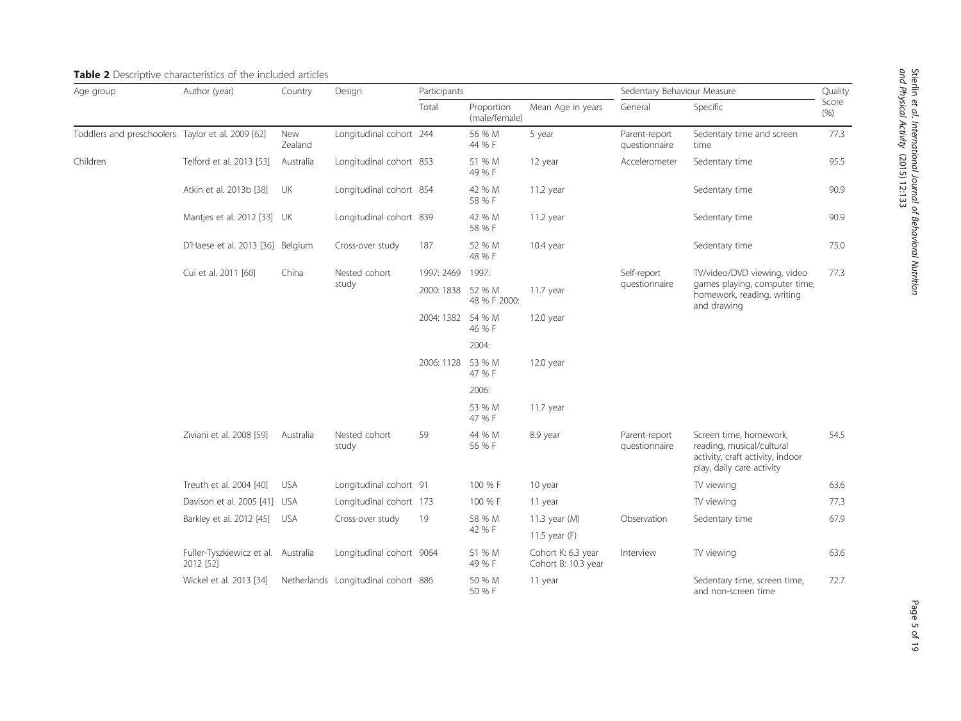| Age group                                         | Author (year)                                    | Country        | Design                              | Participants |                             |                                           | Sedentary Behaviour Measure    | Quality                                                                                                              |               |
|---------------------------------------------------|--------------------------------------------------|----------------|-------------------------------------|--------------|-----------------------------|-------------------------------------------|--------------------------------|----------------------------------------------------------------------------------------------------------------------|---------------|
|                                                   |                                                  |                |                                     | Total        | Proportion<br>(male/female) | Mean Age in years                         | General                        | Specific                                                                                                             | Score<br>(% ) |
| Toddlers and preschoolers Taylor et al. 2009 [62] |                                                  | New<br>Zealand | Longitudinal cohort 244             |              | 56 % M<br>44 % F            | 5 year                                    | Parent-report<br>questionnaire | Sedentary time and screen<br>time                                                                                    | 77.3          |
| Children                                          | Telford et al. 2013 [53]                         | Australia      | Longitudinal cohort 853             |              | 51 % M<br>49 % F            | 12 year                                   | Accelerometer                  | Sedentary time                                                                                                       | 95.5          |
|                                                   | Atkin et al. 2013b [38]                          | UK             | Longitudinal cohort 854             |              | 42 % M<br>58 % F            | 11.2 year                                 |                                | Sedentary time                                                                                                       | 90.9          |
|                                                   | Mantjes et al. 2012 [33] UK                      |                | Longitudinal cohort 839             |              | 42 % M<br>58 % F            | 11.2 year                                 |                                | Sedentary time                                                                                                       | 90.9          |
|                                                   | D'Haese et al. 2013 [36] Belgium                 |                | Cross-over study                    | 187          | 52 % M<br>48 % F            | 10.4 year                                 |                                | Sedentary time                                                                                                       | 75.0          |
|                                                   | Cui et al. 2011 [60]                             | China          | Nested cohort                       | 1997: 2469   | 1997:                       |                                           | Self-report                    | TV/video/DVD viewing, video                                                                                          | 77.3          |
|                                                   |                                                  |                | study                               | 2000: 1838   | 52 % M<br>48 % F 2000:      | 11.7 year                                 | questionnaire                  | games playing, computer time,<br>homework, reading, writing<br>and drawing                                           |               |
|                                                   |                                                  |                |                                     | 2004: 1382   | 54 % M<br>46 % F            | 12.0 year                                 |                                |                                                                                                                      |               |
|                                                   |                                                  |                |                                     |              | 2004:                       |                                           |                                |                                                                                                                      |               |
|                                                   |                                                  |                |                                     | 2006: 1128   | 53 % M<br>47 % F            | 12.0 year                                 |                                |                                                                                                                      |               |
|                                                   |                                                  |                |                                     |              | 2006:                       |                                           |                                |                                                                                                                      |               |
|                                                   |                                                  |                |                                     |              | 53 % M<br>47 % F            | 11.7 year                                 |                                |                                                                                                                      |               |
|                                                   | Ziviani et al. 2008 [59]                         | Australia      | Nested cohort<br>study              | 59           | 44 % M<br>56 % F            | 8.9 year                                  | Parent-report<br>questionnaire | Screen time, homework,<br>reading, musical/cultural<br>activity, craft activity, indoor<br>play, daily care activity | 54.5          |
|                                                   | Treuth et al. 2004 [40]                          | <b>USA</b>     | Longitudinal cohort 91              |              | 100 % F                     | 10 year                                   |                                | TV viewing                                                                                                           | 63.6          |
|                                                   | Davison et al. 2005 [41] USA                     |                | Longitudinal cohort 173             |              | 100 % F                     | 11 year                                   |                                | TV viewing                                                                                                           | 77.3          |
|                                                   | Barkley et al. 2012 [45] USA                     |                | Cross-over study                    | 19           | 58 % M                      | 11.3 year (M)                             | Observation                    | Sedentary time                                                                                                       | 67.9          |
|                                                   |                                                  |                |                                     |              | 42 % F                      | 11.5 year (F)                             |                                |                                                                                                                      |               |
|                                                   | Fuller-Tyszkiewicz et al. Australia<br>2012 [52] |                | Longitudinal cohort 9064            |              | 51 % M<br>49 % F            | Cohort K: 6.3 year<br>Cohort B: 10.3 year | Interview                      | TV viewing                                                                                                           | 63.6          |
|                                                   | Wickel et al. 2013 [34]                          |                | Netherlands Longitudinal cohort 886 |              | 50 % M<br>50 % F            | 11 year                                   |                                | Sedentary time, screen time,<br>and non-screen time                                                                  | 72.7          |

# <span id="page-4-0"></span>Table 2 Descriptive characteristics of the included articles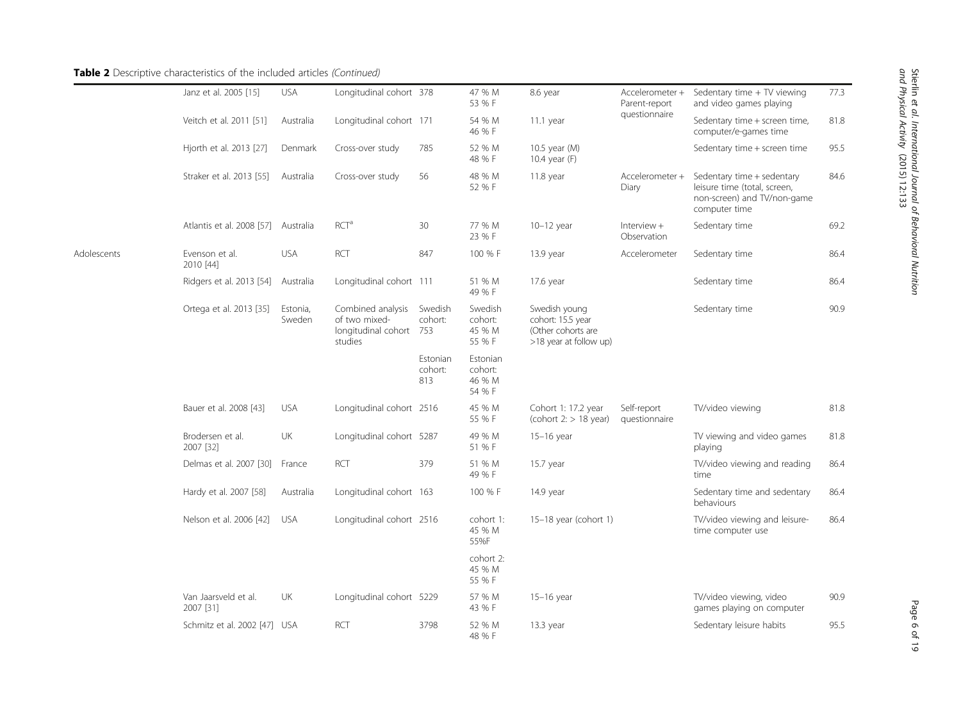# Table 2 Descriptive characteristics of the included articles (Continued)

|             | Janz et al. 2005 [15]               | <b>USA</b>         | Longitudinal cohort 378                                                  |                            | 47 % M<br>53 % F                        | 8.6 year                                                                           | Accelerometer +<br>Parent-report | Sedentary time + TV viewing<br>and video games playing                                                     | 77.3 |
|-------------|-------------------------------------|--------------------|--------------------------------------------------------------------------|----------------------------|-----------------------------------------|------------------------------------------------------------------------------------|----------------------------------|------------------------------------------------------------------------------------------------------------|------|
|             | Veitch et al. 2011 [51]             | Australia          | Longitudinal cohort 171                                                  |                            | 54 % M<br>46 % F                        | 11.1 year                                                                          | questionnaire                    | Sedentary time + screen time,<br>computer/e-games time                                                     | 81.8 |
|             | Hjorth et al. 2013 [27]             | Denmark            | Cross-over study                                                         | 785                        | 52 % M<br>48 % F                        | 10.5 year (M)<br>10.4 year (F)                                                     |                                  | Sedentary time + screen time                                                                               | 95.5 |
|             | Straker et al. 2013 [55]            | Australia          | Cross-over study                                                         | 56                         | 48 % M<br>52 % F                        | 11.8 year                                                                          | Accelerometer +<br>Diary         | Sedentary time + sedentary<br>leisure time (total, screen,<br>non-screen) and TV/non-game<br>computer time | 84.6 |
|             | Atlantis et al. 2008 [57] Australia |                    | <b>RCT<sup>a</sup></b>                                                   | 30                         | 77 % M<br>23 % F                        | 10-12 year                                                                         | Interview +<br>Observation       | Sedentary time                                                                                             | 69.2 |
| Adolescents | Evenson et al.<br>2010 [44]         | <b>USA</b>         | <b>RCT</b>                                                               | 847                        | 100 % F                                 | 13.9 year                                                                          | Accelerometer                    | Sedentary time                                                                                             | 86.4 |
|             | Ridgers et al. 2013 [54]            | Australia          | Longitudinal cohort 111                                                  |                            | 51 % M<br>49 % F                        | 17.6 year                                                                          |                                  | Sedentary time                                                                                             | 86.4 |
|             | Ortega et al. 2013 [35]             | Estonia,<br>Sweden | Combined analysis<br>of two mixed-<br>longitudinal cohort 753<br>studies | Swedish<br>cohort:         | Swedish<br>cohort:<br>45 % M<br>55 % F  | Swedish young<br>cohort: 15.5 year<br>(Other cohorts are<br>>18 year at follow up) |                                  | Sedentary time                                                                                             | 90.9 |
|             |                                     |                    |                                                                          | Estonian<br>cohort:<br>813 | Estonian<br>cohort:<br>46 % M<br>54 % F |                                                                                    |                                  |                                                                                                            |      |
|             | Bauer et al. 2008 [43]              | <b>USA</b>         | Longitudinal cohort 2516                                                 |                            | 45 % M<br>55 % F                        | Cohort 1: 17.2 year<br>(cohort $2:$ > 18 year)                                     | Self-report<br>questionnaire     | TV/video viewing                                                                                           | 81.8 |
|             | Brodersen et al.<br>2007 [32]       | UK                 | Longitudinal cohort 5287                                                 |                            | 49 % M<br>51 % F                        | 15-16 year                                                                         |                                  | TV viewing and video games<br>playing                                                                      | 81.8 |
|             | Delmas et al. 2007 [30] France      |                    | <b>RCT</b>                                                               | 379                        | 51 % M<br>49 % F                        | 15.7 year                                                                          |                                  | TV/video viewing and reading<br>time                                                                       | 86.4 |
|             | Hardy et al. 2007 [58]              | Australia          | Longitudinal cohort 163                                                  |                            | 100 % F                                 | 14.9 year                                                                          |                                  | Sedentary time and sedentary<br>behaviours                                                                 | 86.4 |
|             | Nelson et al. 2006 [42]             | <b>USA</b>         | Longitudinal cohort 2516                                                 |                            | cohort 1:<br>45 % M<br>55%F             | $15-18$ year (cohort 1)                                                            |                                  | TV/video viewing and leisure-<br>time computer use                                                         | 86.4 |
|             |                                     |                    |                                                                          |                            | cohort 2:<br>45 % M<br>55 % F           |                                                                                    |                                  |                                                                                                            |      |
|             | Van Jaarsveld et al.<br>2007 [31]   | UK                 | Longitudinal cohort 5229                                                 |                            | 57 % M<br>43 % F                        | 15-16 year                                                                         |                                  | TV/video viewing, video<br>games playing on computer                                                       | 90.9 |
|             | Schmitz et al. 2002 [47] USA        |                    | <b>RCT</b>                                                               | 3798                       | 52 % M<br>48 % F                        | 13.3 year                                                                          |                                  | Sedentary leisure habits                                                                                   | 95.5 |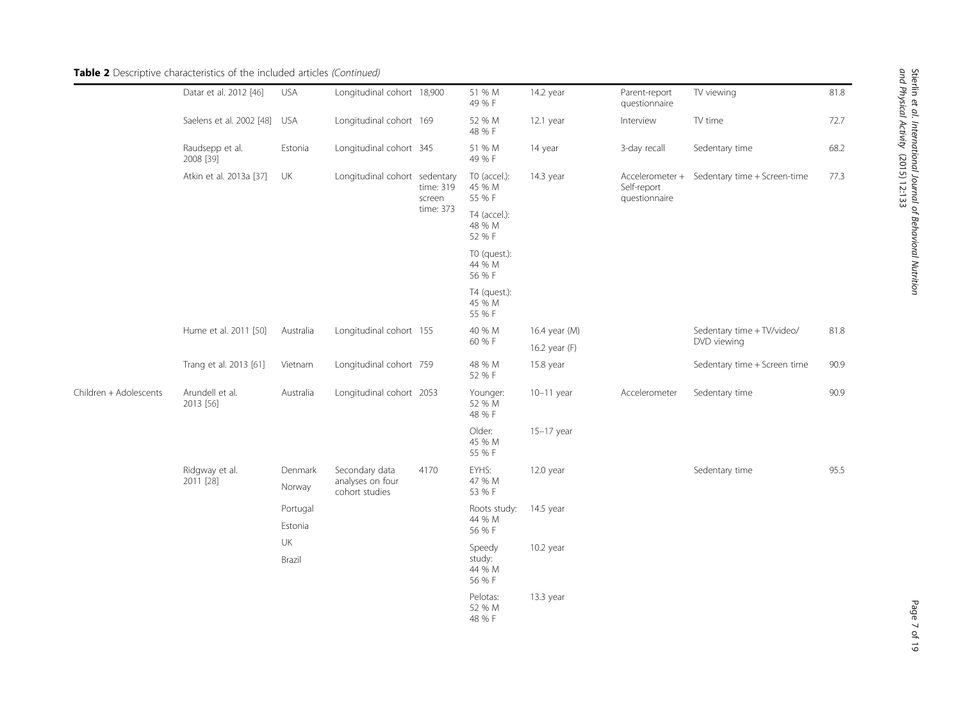|                        | Datar et al. 2012 [46]       | <b>USA</b>                            | Longitudinal cohort 18,900                           |                              | 51 % M<br>49 % F                 | 14.2 year     | Parent-report<br>questionnaire                  | TV viewing                   | 81.8 |
|------------------------|------------------------------|---------------------------------------|------------------------------------------------------|------------------------------|----------------------------------|---------------|-------------------------------------------------|------------------------------|------|
|                        | Saelens et al. 2002 [48] USA |                                       | Longitudinal cohort 169                              |                              | 52 % M<br>48 % F                 | 12.1 year     | Interview                                       | TV time                      | 72.7 |
|                        | Raudsepp et al.<br>2008 [39] | Estonia                               | Longitudinal cohort 345                              |                              | 51 % M<br>49 % F                 | 14 year       | 3-day recall                                    | Sedentary time               | 68.2 |
|                        | Atkin et al. 2013a [37]      | UK                                    | Longitudinal cohort sedentary                        | time: 319<br>screen          | TO (accel.):<br>45 % M<br>55 % F | 14.3 year     | Accelerometer +<br>Self-report<br>questionnaire | Sedentary time + Screen-time | 77.3 |
|                        |                              |                                       |                                                      | time: 373                    | T4 (accel.):<br>48 % M<br>52 % F |               |                                                 |                              |      |
|                        |                              |                                       |                                                      |                              | T0 (quest.):<br>44 % M<br>56 % F |               |                                                 |                              |      |
|                        |                              |                                       |                                                      |                              | T4 (quest.):<br>45 % M<br>55 % F |               |                                                 |                              |      |
|                        | Hume et al. 2011 [50]        | Australia                             | Longitudinal cohort 155                              |                              | 40 % M                           | 16.4 year (M) |                                                 | Sedentary time + TV/video/   | 81.8 |
|                        |                              |                                       |                                                      |                              | 60 % F                           | 16.2 year (F) |                                                 | DVD viewing                  |      |
|                        | Trang et al. 2013 [61]       | Vietnam                               | Longitudinal cohort 759                              |                              | 48 % M<br>52 % F                 | 15.8 year     |                                                 | Sedentary time + Screen time | 90.9 |
| Children + Adolescents | Arundell et al.<br>2013 [56] | Australia<br>Longitudinal cohort 2053 |                                                      | Younger:<br>52 % M<br>48 % F | 10-11 year                       | Accelerometer | Sedentary time                                  | 90.9                         |      |
|                        |                              |                                       |                                                      | Older:<br>45 % M<br>55 % F   | 15-17 year                       |               |                                                 |                              |      |
|                        | Ridgway et al.<br>2011 [28]  | Denmark<br>Norway                     | Secondary data<br>analyses on four<br>cohort studies | 4170                         | EYHS:<br>47 % M<br>53 % F        | 12.0 year     |                                                 | Sedentary time               | 95.5 |
|                        |                              | Portugal                              |                                                      |                              | Roots study:                     | 14.5 year     |                                                 |                              |      |
|                        |                              | Estonia                               |                                                      |                              | 44 % M<br>56 % F                 |               |                                                 |                              |      |
|                        |                              | UK                                    |                                                      |                              | Speedy                           | 10.2 year     |                                                 |                              |      |
|                        |                              | Brazil                                |                                                      | study:<br>44 % M<br>56 % F   |                                  |               |                                                 |                              |      |
|                        |                              |                                       |                                                      |                              | Pelotas:<br>52 % M<br>48 % F     | 13.3 year     |                                                 |                              |      |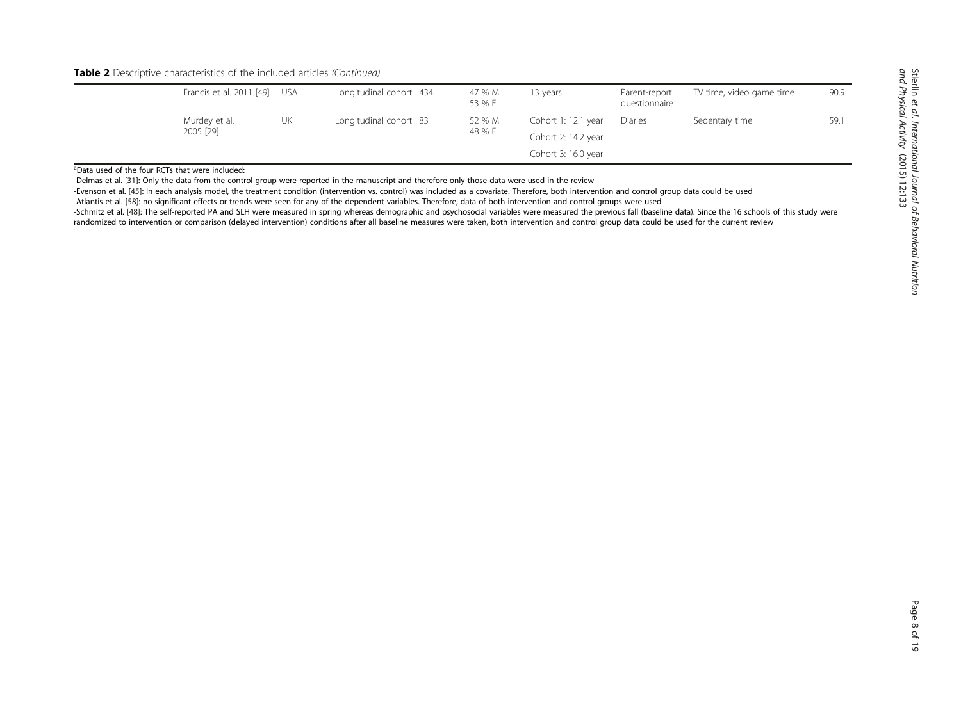### Table 2 Descriptive characteristics of the included articles (Continued)

| Francis et al. 2011 [49] USA |    | Longitudinal cohort 434 | 47 % M<br>53 % F | 13 years            | Parent-report<br>questionnaire | TV time, video game time | 90.9 |
|------------------------------|----|-------------------------|------------------|---------------------|--------------------------------|--------------------------|------|
| Murdey et al.                | UK | Longitudinal cohort 83  | 52 % M           | Cohort 1: 12.1 year | <b>Diaries</b>                 | Sedentary time           | 59.1 |
| 2005 [29]                    |    |                         | 48 % F           | Cohort 2: 14.2 year |                                |                          |      |
|                              |    |                         |                  | Cohort 3: 16.0 year |                                |                          |      |

a Data used of the four RCTs that were included:

-Delmas et al. [\[31](#page-18-0)]: Only the data from the control group were reported in the manuscript and therefore only those data were used in the review

-Evenson et al. [\[45](#page-18-0)]: In each analysis model, the treatment condition (intervention vs. control) was included as a covariate. Therefore, both intervention and control group data could be used

-Atlantis et al. [\[58\]](#page-18-0): no significant effects or trends were seen for any of the dependent variables. Therefore, data of both intervention and control groups were used

-Schmitz et al. [[48\]](#page-18-0): The self-reported PA and SLH were measured in spring whereas demographic and psychosocial variables were measured the previous fall (baseline data). Since the 16 schools of this study were randomized to intervention or comparison (delayed intervention) conditions after all baseline measures were taken, both intervention and control group data could be used for the current review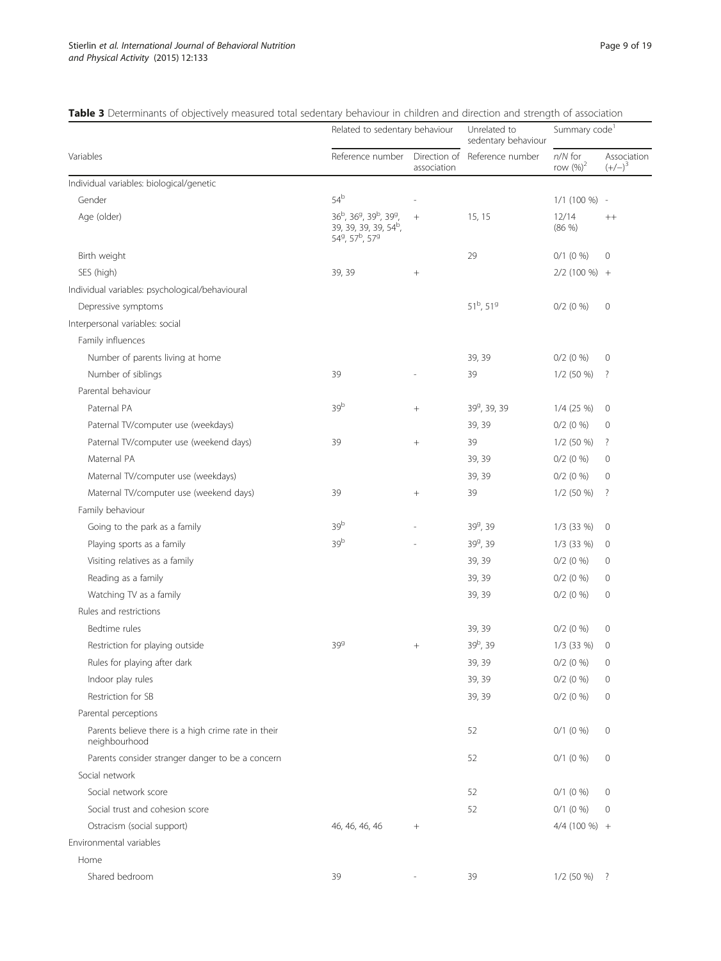# <span id="page-8-0"></span>Table 3 Determinants of objectively measured total sedentary behaviour in children and direction and strength of association

|                                                                      | Related to sedentary behaviour                                                                                                                                      | Unrelated to<br>sedentary behaviour | Summary code <sup>1</sup>   |                           |                          |
|----------------------------------------------------------------------|---------------------------------------------------------------------------------------------------------------------------------------------------------------------|-------------------------------------|-----------------------------|---------------------------|--------------------------|
| Variables                                                            | Reference number                                                                                                                                                    | Direction of<br>association         | Reference number            | $n/N$ for<br>row $(\%)^2$ | Association<br>$(+/-)^3$ |
| Individual variables: biological/genetic                             |                                                                                                                                                                     |                                     |                             |                           |                          |
| Gender                                                               | $54^b$                                                                                                                                                              |                                     |                             | $1/1$ (100 %) -           |                          |
| Age (older)                                                          | 36 <sup>b</sup> , 36 <sup>9</sup> , 39 <sup>b</sup> , 39 <sup>9</sup> ,<br>39, 39, 39, 39, 54 <sup>b</sup> ,<br>54 <sup>9</sup> , 57 <sup>b</sup> , 57 <sup>9</sup> |                                     | 15, 15                      | 12/14<br>$(86\%)$         | $^{++}$                  |
| Birth weight                                                         |                                                                                                                                                                     |                                     | 29                          | $0/1$ (0 %)               | $\mathbf{0}$             |
| SES (high)                                                           | 39, 39                                                                                                                                                              |                                     |                             | $2/2(100\%) +$            |                          |
| Individual variables: psychological/behavioural                      |                                                                                                                                                                     |                                     |                             |                           |                          |
| Depressive symptoms                                                  |                                                                                                                                                                     |                                     | $51^{\rm b}$ , $51^{\rm g}$ | $0/2$ (0 %)               | $\mathbf 0$              |
| Interpersonal variables: social                                      |                                                                                                                                                                     |                                     |                             |                           |                          |
| Family influences                                                    |                                                                                                                                                                     |                                     |                             |                           |                          |
| Number of parents living at home                                     |                                                                                                                                                                     |                                     | 39, 39                      | $0/2$ (0 %)               | $\mathbf{0}$             |
| Number of siblings                                                   | 39                                                                                                                                                                  |                                     | 39                          | $1/2$ (50 %)              | $\cdot$ ?                |
| Parental behaviour                                                   |                                                                                                                                                                     |                                     |                             |                           |                          |
| Paternal PA                                                          | 39 <sup>b</sup>                                                                                                                                                     |                                     | 39 <sup>9</sup> , 39, 39    | $1/4$ (25 %)              | $\mathbf 0$              |
| Paternal TV/computer use (weekdays)                                  |                                                                                                                                                                     |                                     | 39, 39                      | $0/2$ (0 %)               | 0                        |
| Paternal TV/computer use (weekend days)                              | 39                                                                                                                                                                  | $^{+}$                              | 39                          | $1/2$ (50 %)              | $\overline{?}$           |
| Maternal PA                                                          |                                                                                                                                                                     |                                     | 39, 39                      | $0/2$ (0 %)               | $\mathbf{0}$             |
| Maternal TV/computer use (weekdays)                                  |                                                                                                                                                                     |                                     | 39, 39                      | $0/2$ (0 %)               | 0                        |
| Maternal TV/computer use (weekend days)                              | 39                                                                                                                                                                  | $^{+}$                              | 39                          | 1/2 (50 %)                | $\cdot$                  |
| Family behaviour                                                     |                                                                                                                                                                     |                                     |                             |                           |                          |
| Going to the park as a family                                        | 39 <sup>b</sup>                                                                                                                                                     |                                     | 39 <sup>9</sup> , 39        | $1/3$ (33 %)              | $\mathbf 0$              |
| Playing sports as a family                                           | 39 <sup>b</sup>                                                                                                                                                     |                                     | 39 <sup>9</sup> , 39        | $1/3$ (33 %)              | 0                        |
| Visiting relatives as a family                                       |                                                                                                                                                                     |                                     | 39, 39                      | $0/2$ (0 %)               | 0                        |
| Reading as a family                                                  |                                                                                                                                                                     |                                     | 39, 39                      | $0/2$ (0 %)               | 0                        |
| Watching TV as a family                                              |                                                                                                                                                                     |                                     | 39, 39                      | $0/2$ (0 %)               | 0                        |
| Rules and restrictions                                               |                                                                                                                                                                     |                                     |                             |                           |                          |
| Bedtime rules                                                        |                                                                                                                                                                     |                                     | 39, 39                      | $0/2$ (0 %)               | 0                        |
| Restriction for playing outside                                      | 39 <sup>9</sup>                                                                                                                                                     | $\! + \!$                           | $39^{b}$ , 39               | 1/3 (33 %)                | $\mathbf 0$              |
| Rules for playing after dark                                         |                                                                                                                                                                     |                                     | 39, 39                      | $0/2$ (0 %)               | $\mathsf{O}\xspace$      |
| Indoor play rules                                                    |                                                                                                                                                                     |                                     | 39, 39                      | $0/2$ (0 %)               | 0                        |
| Restriction for SB                                                   |                                                                                                                                                                     |                                     | 39, 39                      | $0/2$ (0 %)               | 0                        |
| Parental perceptions                                                 |                                                                                                                                                                     |                                     |                             |                           |                          |
| Parents believe there is a high crime rate in their<br>neighbourhood |                                                                                                                                                                     |                                     | 52                          | $0/1$ (0 %)               | 0                        |
| Parents consider stranger danger to be a concern                     |                                                                                                                                                                     |                                     | 52                          | $0/1$ (0 %)               | 0                        |
| Social network                                                       |                                                                                                                                                                     |                                     |                             |                           |                          |
| Social network score                                                 |                                                                                                                                                                     |                                     | 52                          | $0/1$ (0 %)               | 0                        |
| Social trust and cohesion score                                      |                                                                                                                                                                     |                                     | 52                          | $0/1$ (0 %)               | 0                        |
| Ostracism (social support)                                           | 46, 46, 46, 46                                                                                                                                                      |                                     |                             | $4/4$ (100 %) +           |                          |
| Environmental variables                                              |                                                                                                                                                                     |                                     |                             |                           |                          |
| Home                                                                 |                                                                                                                                                                     |                                     |                             |                           |                          |
| Shared bedroom                                                       | 39                                                                                                                                                                  |                                     | 39                          | $1/2$ (50 %)              | $\cdot$ ?                |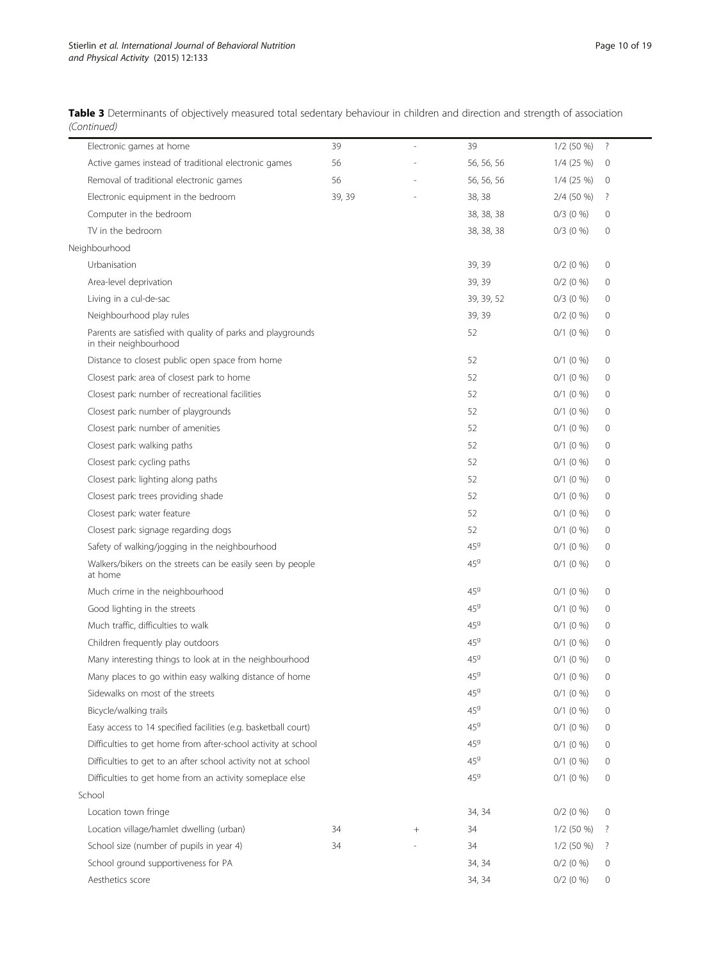| Table 3 Determinants of objectively measured total sedentary behaviour in children and direction and strength of association |  |  |  |  |
|------------------------------------------------------------------------------------------------------------------------------|--|--|--|--|
| (Continued)                                                                                                                  |  |  |  |  |

| Electronic games at home                                                              | 39     | 39              | $1/2$ (50 %) | $\cdot$ ?          |
|---------------------------------------------------------------------------------------|--------|-----------------|--------------|--------------------|
| Active games instead of traditional electronic games                                  | 56     | 56, 56, 56      | 1/4 (25 %)   | $\mathbf 0$        |
| Removal of traditional electronic games                                               | 56     | 56, 56, 56      | $1/4$ (25 %) | $\mathbf 0$        |
| Electronic equipment in the bedroom                                                   | 39, 39 | 38, 38          | 2/4 (50 %)   | $\cdot$ ?          |
| Computer in the bedroom                                                               |        | 38, 38, 38      | $0/3$ (0 %)  | $\circ$            |
| TV in the bedroom                                                                     |        | 38, 38, 38      | $0/3$ (0 %)  | 0                  |
| Neighbourhood                                                                         |        |                 |              |                    |
| Urbanisation                                                                          |        | 39, 39          | $0/2$ (0 %)  | 0                  |
| Area-level deprivation                                                                |        | 39, 39          | $0/2$ (0 %)  | 0                  |
| Living in a cul-de-sac                                                                |        | 39, 39, 52      | $0/3$ (0 %)  | 0                  |
| Neighbourhood play rules                                                              |        | 39, 39          | $0/2$ (0 %)  | 0                  |
| Parents are satisfied with quality of parks and playgrounds<br>in their neighbourhood |        | 52              | $0/1$ (0 %)  | 0                  |
| Distance to closest public open space from home                                       |        | 52              | $0/1$ (0 %)  | 0                  |
| Closest park: area of closest park to home                                            |        | 52              | $0/1$ (0 %)  | 0                  |
| Closest park: number of recreational facilities                                       |        | 52              | $0/1$ (0 %)  | 0                  |
| Closest park: number of playgrounds                                                   |        | 52              | $0/1$ (0 %)  | 0                  |
| Closest park: number of amenities                                                     |        | 52              | $0/1$ (0 %)  | 0                  |
| Closest park: walking paths                                                           |        | 52              | $0/1$ (0 %)  | 0                  |
| Closest park: cycling paths                                                           |        | 52              | $0/1$ (0 %)  | 0                  |
| Closest park: lighting along paths                                                    |        | 52              | $0/1$ (0 %)  | 0                  |
| Closest park: trees providing shade                                                   |        | 52              | $0/1$ (0 %)  | 0                  |
| Closest park: water feature                                                           |        | 52              | $0/1$ (0 %)  | 0                  |
| Closest park: signage regarding dogs                                                  |        | 52              | $0/1$ (0 %)  | 0                  |
| Safety of walking/jogging in the neighbourhood                                        |        | 459             | $0/1$ (0 %)  | 0                  |
| Walkers/bikers on the streets can be easily seen by people<br>at home                 |        | 45 <sup>9</sup> | $0/1$ (0 %)  | 0                  |
| Much crime in the neighbourhood                                                       |        | $45^9$          | $0/1$ (0 %)  | 0                  |
| Good lighting in the streets                                                          |        | 459             | $0/1$ (0 %)  | 0                  |
| Much traffic, difficulties to walk                                                    |        | 45 <sup>9</sup> | $0/1$ (0 %)  | 0                  |
| Children frequently play outdoors                                                     |        | $45^9$          | $0/1$ (0 %)  | 0                  |
| Many interesting things to look at in the neighbourhood                               |        | $45^9$          | $0/1$ (0 %)  | 0                  |
| Many places to go within easy walking distance of home                                |        | $45^9$          | $0/1$ (0 %)  | 0                  |
| Sidewalks on most of the streets                                                      |        | $45^9$          | $0/1$ (0 %)  | 0                  |
| Bicycle/walking trails                                                                |        | $45^9$          | $0/1$ (0 %)  | 0                  |
| Easy access to 14 specified facilities (e.g. basketball court)                        |        | 45 <sup>9</sup> | $0/1$ (0 %)  | 0                  |
| Difficulties to get home from after-school activity at school                         |        | $45^9$          | $0/1$ (0 %)  | 0                  |
| Difficulties to get to an after school activity not at school                         |        | $45^9$          | $0/1$ (0 %)  | 0                  |
| Difficulties to get home from an activity someplace else                              |        | 45 <sup>9</sup> | $0/1$ (0 %)  | 0                  |
| School                                                                                |        |                 |              |                    |
| Location town fringe                                                                  |        | 34, 34          | $0/2$ (0 %)  | 0                  |
| Location village/hamlet dwelling (urban)                                              | 34     | 34              | $1/2$ (50 %) | $\cdot$ ?          |
| School size (number of pupils in year 4)                                              | 34     | 34              | $1/2$ (50 %) | $\overline{\cdot}$ |
| School ground supportiveness for PA                                                   |        | 34, 34          | $0/2$ (0 %)  | $\circ$            |
| Aesthetics score                                                                      |        | 34, 34          | $0/2$ (0 %)  | $\mathbf 0$        |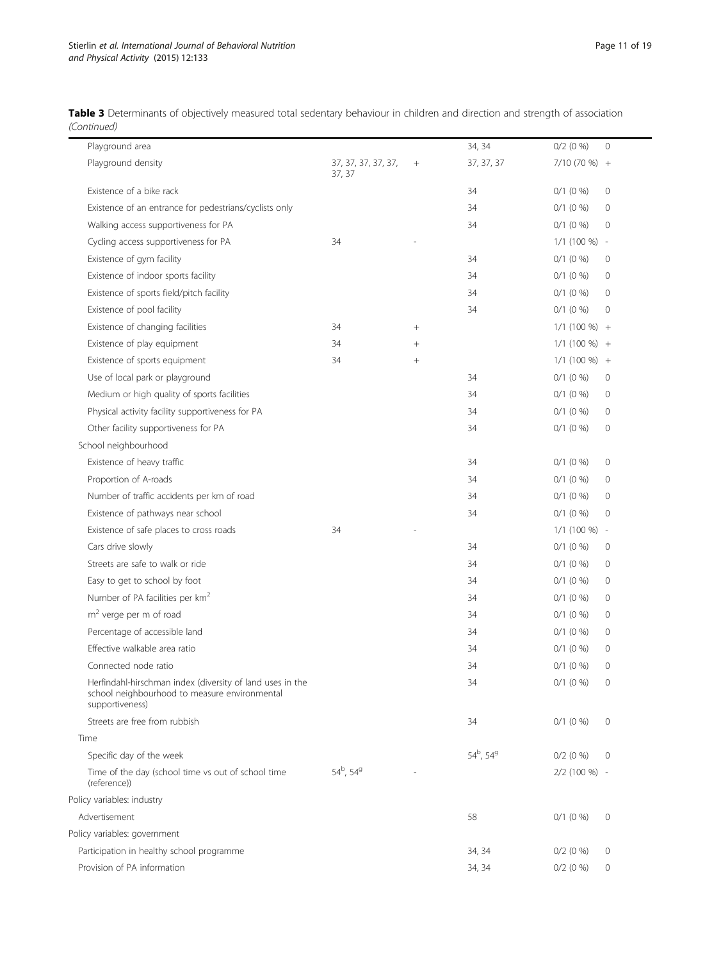Table 3 Determinants of objectively measured total sedentary behaviour in children and direction and strength of association (Continued)

| Playground area                                                                                                               |                                   |        | 34, 34                            | $0/2$ (0 %)     | $\circ$      |
|-------------------------------------------------------------------------------------------------------------------------------|-----------------------------------|--------|-----------------------------------|-----------------|--------------|
| Playground density                                                                                                            | 37, 37, 37, 37, 37,<br>37, 37     | $^{+}$ | 37, 37, 37                        | 7/10 (70 %) +   |              |
| Existence of a bike rack                                                                                                      |                                   |        | 34                                | $0/1$ (0 %)     | $\mathbf 0$  |
| Existence of an entrance for pedestrians/cyclists only                                                                        |                                   |        | 34                                | $0/1$ (0 %)     | $\Omega$     |
| Walking access supportiveness for PA                                                                                          |                                   |        | 34                                | $0/1$ (0 %)     | $\mathbf{0}$ |
| Cycling access supportiveness for PA                                                                                          | 34                                |        |                                   | $1/1$ (100 %) - |              |
| Existence of gym facility                                                                                                     |                                   |        | 34                                | $0/1$ (0 %)     | 0            |
| Existence of indoor sports facility                                                                                           |                                   |        | 34                                | $0/1$ (0 %)     | 0            |
| Existence of sports field/pitch facility                                                                                      |                                   |        | 34                                | $0/1$ (0 %)     | $\circ$      |
| Existence of pool facility                                                                                                    |                                   |        | 34                                | $0/1$ (0 %)     | $\circ$      |
| Existence of changing facilities                                                                                              | 34                                | $^{+}$ |                                   | $1/1$ (100 %) + |              |
| Existence of play equipment                                                                                                   | 34                                | $^{+}$ |                                   | $1/1$ (100 %) + |              |
| Existence of sports equipment                                                                                                 | 34                                |        |                                   | $1/1$ (100 %) + |              |
| Use of local park or playground                                                                                               |                                   |        | 34                                | $0/1$ (0 %)     | $\mathbf 0$  |
| Medium or high quality of sports facilities                                                                                   |                                   |        | 34                                | $0/1$ (0 %)     | 0            |
| Physical activity facility supportiveness for PA                                                                              |                                   |        | 34                                | $0/1$ (0 %)     | $\circ$      |
| Other facility supportiveness for PA                                                                                          |                                   |        | 34                                | $0/1$ (0 %)     | $\mathbf{0}$ |
| School neighbourhood                                                                                                          |                                   |        |                                   |                 |              |
| Existence of heavy traffic                                                                                                    |                                   |        | 34                                | $0/1$ (0 %)     | $\mathbf{0}$ |
| Proportion of A-roads                                                                                                         |                                   |        | 34                                | $0/1$ (0 %)     | 0            |
| Number of traffic accidents per km of road                                                                                    |                                   |        | 34                                | $0/1$ (0 %)     | $\circ$      |
| Existence of pathways near school                                                                                             |                                   |        | 34                                | $0/1$ (0 %)     | $\circ$      |
| Existence of safe places to cross roads                                                                                       | 34                                |        |                                   | $1/1$ (100 %) - |              |
| Cars drive slowly                                                                                                             |                                   |        | 34                                | $0/1$ (0 %)     | 0            |
| Streets are safe to walk or ride                                                                                              |                                   |        | 34                                | $0/1$ (0 %)     | 0            |
| Easy to get to school by foot                                                                                                 |                                   |        | 34                                | $0/1$ (0 %)     | $\mathbf 0$  |
| Number of PA facilities per km <sup>2</sup>                                                                                   |                                   |        | 34                                | $0/1$ (0 %)     | $\mathbf 0$  |
| $m2$ verge per m of road                                                                                                      |                                   |        | 34                                | $0/1$ (0 %)     | $\circ$      |
| Percentage of accessible land                                                                                                 |                                   |        | 34                                | $0/1$ (0 %)     | $\mathbf{0}$ |
| Effective walkable area ratio                                                                                                 |                                   |        | 34                                | $0/1$ (0 %)     | 0            |
| Connected node ratio                                                                                                          |                                   |        | 34                                | $0/1$ (0 %)     | $\circ$      |
| Herfindahl-hirschman index (diversity of land uses in the<br>school neighbourhood to measure environmental<br>supportiveness) |                                   |        | 34                                | $0/1$ (0 %)     | 0            |
| Streets are free from rubbish                                                                                                 |                                   |        | 34                                | $0/1$ (0 %)     | 0            |
| Time                                                                                                                          |                                   |        |                                   |                 |              |
| Specific day of the week                                                                                                      |                                   |        | 54 <sup>b</sup> , 54 <sup>9</sup> | $0/2$ (0 %)     | $\mathbf{0}$ |
| Time of the day (school time vs out of school time<br>(reference))                                                            | 54 <sup>b</sup> , 54 <sup>9</sup> |        |                                   | 2/2 (100 %) -   |              |
| Policy variables: industry                                                                                                    |                                   |        |                                   |                 |              |
| Advertisement                                                                                                                 |                                   |        | 58                                | $0/1$ (0 %)     | 0            |
| Policy variables: government                                                                                                  |                                   |        |                                   |                 |              |
| Participation in healthy school programme                                                                                     |                                   |        | 34, 34                            | $0/2$ (0 %)     | 0            |
| Provision of PA information                                                                                                   |                                   |        | 34, 34                            | $0/2$ (0 %)     | 0            |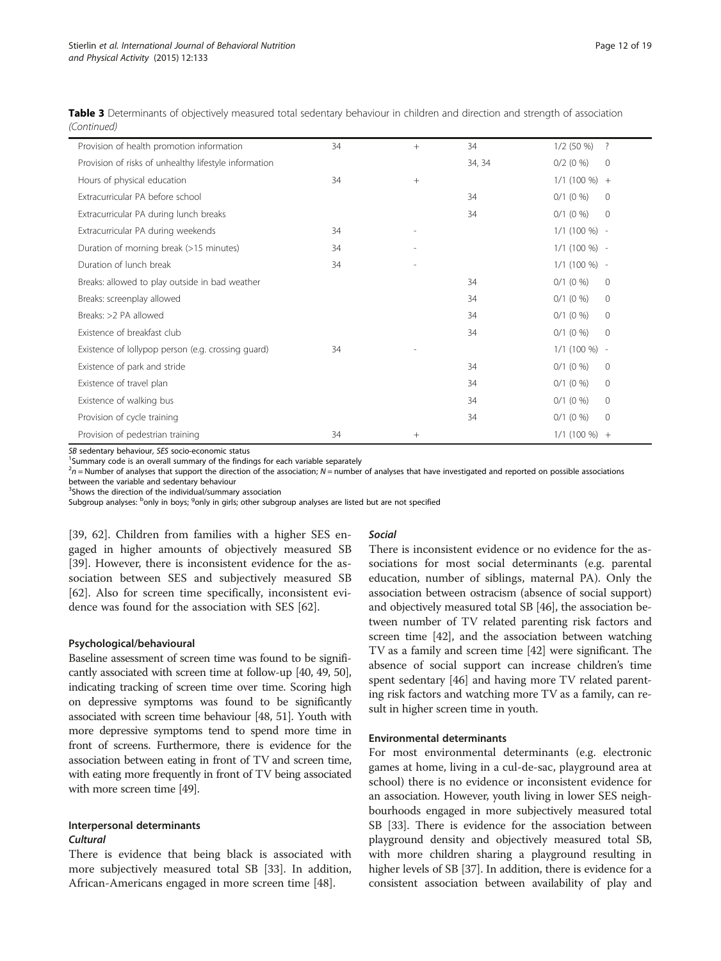| Table 3 Determinants of objectively measured total sedentary behaviour in children and direction and strength of association |  |  |  |  |
|------------------------------------------------------------------------------------------------------------------------------|--|--|--|--|
| (Continued)                                                                                                                  |  |  |  |  |

| Provision of health promotion information             | 34 | $^{+}$ | 34     | $1/2$ (50 %)    | ?           |
|-------------------------------------------------------|----|--------|--------|-----------------|-------------|
| Provision of risks of unhealthy lifestyle information |    |        | 34, 34 | $0/2$ (0 %)     | $\Omega$    |
| Hours of physical education                           | 34 | $^{+}$ |        | $1/1(100\%)$    | $+$         |
| Extracurricular PA before school                      |    |        | 34     | $0/1$ (0 %)     | $\Omega$    |
| Extracurricular PA during lunch breaks                |    |        | 34     | $0/1$ (0 %)     | $\Omega$    |
| Extracurricular PA during weekends                    | 34 |        |        | $1/1$ (100 %) - |             |
| Duration of morning break (>15 minutes)               | 34 |        |        | $1/1$ (100 %) - |             |
| Duration of lunch break                               | 34 |        |        | $1/1$ (100 %) - |             |
| Breaks: allowed to play outside in bad weather        |    |        | 34     | $0/1$ (0 %)     | $\circ$     |
| Breaks: screenplay allowed                            |    |        | 34     | $0/1$ (0 %)     | 0           |
| Breaks: >2 PA allowed                                 |    |        | 34     | $0/1$ (0 %)     | 0           |
| Existence of breakfast club                           |    |        | 34     | $0/1$ (0 %)     | $\mathbf 0$ |
| Existence of lollypop person (e.g. crossing guard)    | 34 |        |        | $1/1$ (100 %)   | $\sim$      |
| Existence of park and stride                          |    |        | 34     | $0/1$ (0 %)     | $\circ$     |
| Existence of travel plan                              |    |        | 34     | $0/1$ (0 %)     | $\Omega$    |
| Existence of walking bus                              |    |        | 34     | $0/1$ (0 %)     | $\Omega$    |
| Provision of cycle training                           |    |        | 34     | $0/1$ (0 %)     | $\Omega$    |
| Provision of pedestrian training                      | 34 | $^{+}$ |        | $1/1$ (100 %) + |             |

SB sedentary behaviour, SES socio-economic status

<sup>1</sup>Summary code is an overall summary of the findings for each variable separately

 $^2$ n = Number of analyses that support the direction of the association; N = number of analyses that have investigated and reported on possible associations

between the variable and sedentary behaviour

<sup>3</sup>Shows the direction of the individual/summary association

Subgroup analyses: <sup>b</sup>only in boys; <sup>g</sup>only in girls; other subgroup analyses are listed but are not specified

[[39, 62\]](#page-18-0). Children from families with a higher SES engaged in higher amounts of objectively measured SB [[39\]](#page-18-0). However, there is inconsistent evidence for the association between SES and subjectively measured SB [[62\]](#page-18-0). Also for screen time specifically, inconsistent evidence was found for the association with SES [\[62\]](#page-18-0).

### Psychological/behavioural

Baseline assessment of screen time was found to be significantly associated with screen time at follow-up [\[40, 49](#page-18-0), [50](#page-18-0)], indicating tracking of screen time over time. Scoring high on depressive symptoms was found to be significantly associated with screen time behaviour [[48, 51\]](#page-18-0). Youth with more depressive symptoms tend to spend more time in front of screens. Furthermore, there is evidence for the association between eating in front of TV and screen time, with eating more frequently in front of TV being associated with more screen time [\[49\]](#page-18-0).

# Interpersonal determinants

There is evidence that being black is associated with more subjectively measured total SB [\[33](#page-18-0)]. In addition, African-Americans engaged in more screen time [\[48\]](#page-18-0).

### Social

There is inconsistent evidence or no evidence for the associations for most social determinants (e.g. parental education, number of siblings, maternal PA). Only the association between ostracism (absence of social support) and objectively measured total SB [\[46\]](#page-18-0), the association between number of TV related parenting risk factors and screen time [\[42](#page-18-0)], and the association between watching TV as a family and screen time [\[42\]](#page-18-0) were significant. The absence of social support can increase children's time spent sedentary [\[46\]](#page-18-0) and having more TV related parenting risk factors and watching more TV as a family, can result in higher screen time in youth.

### Environmental determinants

For most environmental determinants (e.g. electronic games at home, living in a cul-de-sac, playground area at school) there is no evidence or inconsistent evidence for an association. However, youth living in lower SES neighbourhoods engaged in more subjectively measured total SB [\[33](#page-18-0)]. There is evidence for the association between playground density and objectively measured total SB, with more children sharing a playground resulting in higher levels of SB [\[37\]](#page-18-0). In addition, there is evidence for a consistent association between availability of play and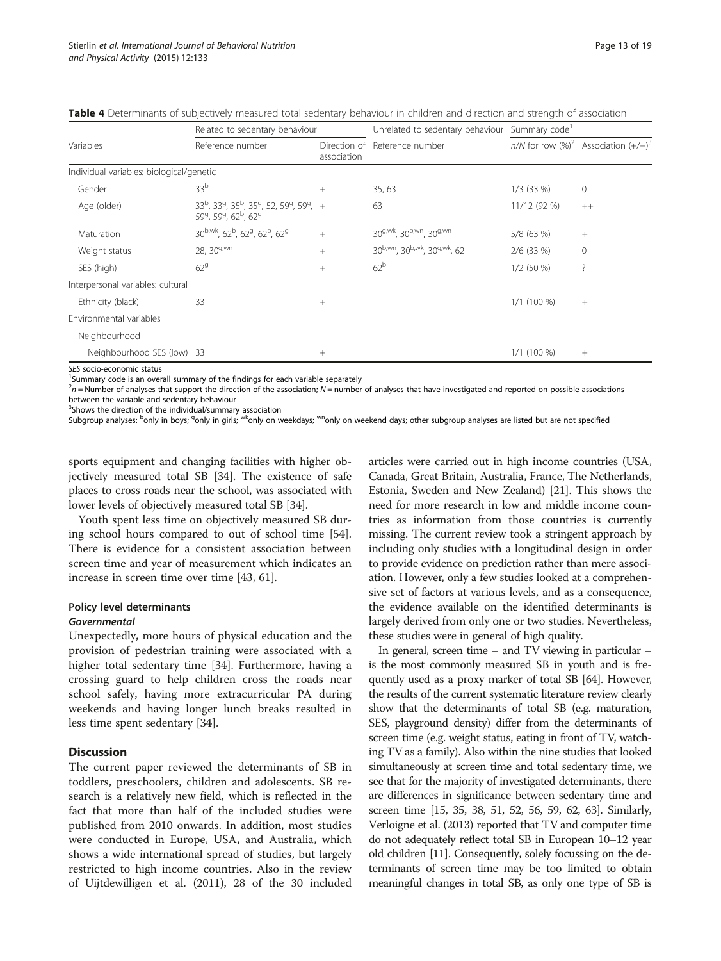|                                          | Related to sedentary behaviour                                                                                                                                                             |                             | Unrelated to sedentary behaviour                             | Summary code <sup>1</sup> |                                              |
|------------------------------------------|--------------------------------------------------------------------------------------------------------------------------------------------------------------------------------------------|-----------------------------|--------------------------------------------------------------|---------------------------|----------------------------------------------|
| Variables                                | Reference number                                                                                                                                                                           | Direction of<br>association | Reference number                                             |                           | $n/N$ for row $(\%)^2$ Association $(+/-)^3$ |
| Individual variables: biological/genetic |                                                                                                                                                                                            |                             |                                                              |                           |                                              |
| Gender                                   | 33 <sup>b</sup>                                                                                                                                                                            | $^{+}$                      | 35, 63                                                       | $1/3$ (33 %)              | 0                                            |
| Age (older)                              | 33 <sup>b</sup> , 33 <sup>9</sup> , 35 <sup>b</sup> , 35 <sup>9</sup> , 52, 59 <sup>9</sup> , 59 <sup>9</sup> , +<br>59 <sup>9</sup> , 59 <sup>9</sup> , 62 <sup>b</sup> , 62 <sup>9</sup> |                             | 63                                                           | 11/12 (92 %)              | $++$                                         |
| Maturation                               | 30b,wk, 62b, 629, 62b, 629                                                                                                                                                                 | $+$                         | 30 <sup>9,wk</sup> , 30 <sup>b,wn</sup> , 30 <sup>9,wn</sup> | 5/8 (63 %)                | $^{+}$                                       |
| Weight status                            | 28, 30 <sup>g,wn</sup>                                                                                                                                                                     | $+$                         | 30b,wn, 30b,wk, 309,wk, 62                                   | $2/6$ (33 %)              | 0                                            |
| SES (high)                               | 62 <sup>9</sup>                                                                                                                                                                            | $+$                         | 62 <sup>b</sup>                                              | $1/2$ (50 %)              | ?                                            |
| Interpersonal variables: cultural        |                                                                                                                                                                                            |                             |                                                              |                           |                                              |
| Ethnicity (black)                        | 33                                                                                                                                                                                         | $^{+}$                      |                                                              | $1/1$ (100 %)             | $^{+}$                                       |
| Environmental variables                  |                                                                                                                                                                                            |                             |                                                              |                           |                                              |
| Neighbourhood                            |                                                                                                                                                                                            |                             |                                                              |                           |                                              |
| Neighbourhood SES (low) 33               |                                                                                                                                                                                            | $^{+}$                      |                                                              | $1/1(100\%)$              | $^{+}$                                       |

<span id="page-12-0"></span>

|  | Table 4 Determinants of subjectively measured total sedentary behaviour in children and direction and strength of association |
|--|-------------------------------------------------------------------------------------------------------------------------------|
|--|-------------------------------------------------------------------------------------------------------------------------------|

SES socio-economic status

<sup>1</sup>Summary code is an overall summary of the findings for each variable separately

 $^2n$  = Number of analyses that support the direction of the association;  $N$  = number of analyses that have investigated and reported on possible associations between the variable and sedentary behaviour

<sup>3</sup>Shows the direction of the individual/summary association

Subgroup analyses: <sup>b</sup>only in boys; <sup>g</sup>only in girls; <sup>wk</sup>only on weekdays; <sup>wn</sup>only on weekend days; other subgroup analyses are listed but are not specified

sports equipment and changing facilities with higher objectively measured total SB [[34](#page-18-0)]. The existence of safe places to cross roads near the school, was associated with lower levels of objectively measured total SB [[34](#page-18-0)].

Youth spent less time on objectively measured SB during school hours compared to out of school time [\[54](#page-18-0)]. There is evidence for a consistent association between screen time and year of measurement which indicates an increase in screen time over time [[43, 61\]](#page-18-0).

### Policy level determinants

Unexpectedly, more hours of physical education and the provision of pedestrian training were associated with a higher total sedentary time [[34\]](#page-18-0). Furthermore, having a crossing guard to help children cross the roads near school safely, having more extracurricular PA during weekends and having longer lunch breaks resulted in less time spent sedentary [\[34](#page-18-0)].

### **Discussion**

The current paper reviewed the determinants of SB in toddlers, preschoolers, children and adolescents. SB research is a relatively new field, which is reflected in the fact that more than half of the included studies were published from 2010 onwards. In addition, most studies were conducted in Europe, USA, and Australia, which shows a wide international spread of studies, but largely restricted to high income countries. Also in the review of Uijtdewilligen et al. (2011), 28 of the 30 included articles were carried out in high income countries (USA, Canada, Great Britain, Australia, France, The Netherlands, Estonia, Sweden and New Zealand) [\[21](#page-17-0)]. This shows the need for more research in low and middle income countries as information from those countries is currently missing. The current review took a stringent approach by including only studies with a longitudinal design in order to provide evidence on prediction rather than mere association. However, only a few studies looked at a comprehensive set of factors at various levels, and as a consequence, the evidence available on the identified determinants is largely derived from only one or two studies. Nevertheless, these studies were in general of high quality.

In general, screen time – and TV viewing in particular – is the most commonly measured SB in youth and is frequently used as a proxy marker of total SB [\[64](#page-18-0)]. However, the results of the current systematic literature review clearly show that the determinants of total SB (e.g. maturation, SES, playground density) differ from the determinants of screen time (e.g. weight status, eating in front of TV, watching TV as a family). Also within the nine studies that looked simultaneously at screen time and total sedentary time, we see that for the majority of investigated determinants, there are differences in significance between sedentary time and screen time [[15](#page-17-0), [35, 38](#page-18-0), [51, 52, 56](#page-18-0), [59, 62](#page-18-0), [63](#page-18-0)]. Similarly, Verloigne et al. (2013) reported that TV and computer time do not adequately reflect total SB in European 10–12 year old children [\[11](#page-17-0)]. Consequently, solely focussing on the determinants of screen time may be too limited to obtain meaningful changes in total SB, as only one type of SB is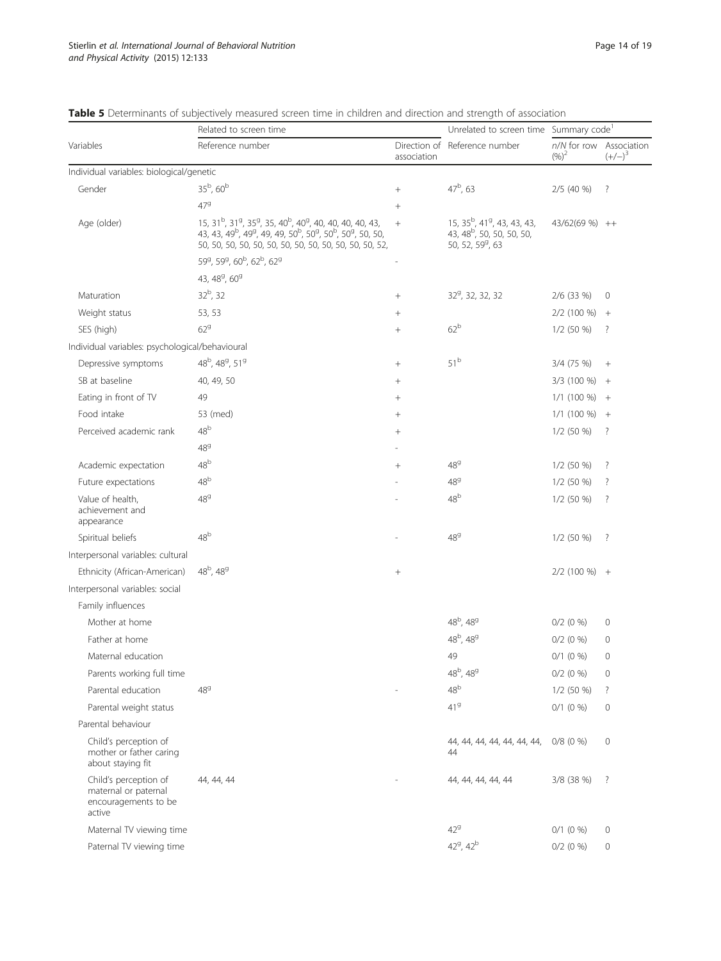|                                                                                 | Related to screen time                                                                                                                                                                                                                                       |                 | Unrelated to screen time Summary code'                                                                                       |                                    |                    |
|---------------------------------------------------------------------------------|--------------------------------------------------------------------------------------------------------------------------------------------------------------------------------------------------------------------------------------------------------------|-----------------|------------------------------------------------------------------------------------------------------------------------------|------------------------------------|--------------------|
| Variables                                                                       | Reference number                                                                                                                                                                                                                                             | association     | Direction of Reference number                                                                                                | n/N for row Association<br>$(%)^2$ | $(+/-)^3$          |
| Individual variables: biological/genetic                                        |                                                                                                                                                                                                                                                              |                 |                                                                                                                              |                                    |                    |
| Gender                                                                          | $35^{\rm b}$ , 60 <sup>b</sup>                                                                                                                                                                                                                               | $^{+}$          | $47^{\rm b}$ , 63                                                                                                            | 2/5 (40 %)                         | $\overline{\cdot}$ |
|                                                                                 | 479                                                                                                                                                                                                                                                          |                 |                                                                                                                              |                                    |                    |
| Age (older)                                                                     | 15, 31 <sup>b</sup> , 31 <sup>9</sup> , 35 <sup>9</sup> , 35, 40 <sup>b</sup> , 40 <sup>9</sup> , 40, 40, 40, 40, 43,<br>43, 43, 49 <sup>b</sup> , 49 <sup>9</sup> , 49, 49, 50 <sup>b</sup> , 50 <sup>9</sup> , 50 <sup>b</sup> , 50 <sup>9</sup> , 50, 50, |                 | 15, 35 <sup>b</sup> , 41 <sup>9</sup> , 43, 43, 43,<br>43, 48 <sup>b</sup> , 50, 50, 50, 50,<br>50, 52, 59 <sup>9</sup> , 63 | 43/62(69 %) ++                     |                    |
|                                                                                 | 59 <sup>9</sup> , 59 <sup>9</sup> , 60 <sup>b</sup> , 62 <sup>b</sup> , 62 <sup>9</sup>                                                                                                                                                                      |                 |                                                                                                                              |                                    |                    |
|                                                                                 | 43, 48 <sup>9</sup> , 60 <sup>9</sup>                                                                                                                                                                                                                        |                 |                                                                                                                              |                                    |                    |
| Maturation                                                                      | $32^{b}$ , 32                                                                                                                                                                                                                                                |                 | 32 <sup>9</sup> , 32, 32, 32                                                                                                 | 2/6 (33 %)                         | $\mathbf 0$        |
| Weight status                                                                   | 53, 53                                                                                                                                                                                                                                                       |                 |                                                                                                                              | $2/2$ (100 %) +                    |                    |
| SES (high)                                                                      | 62 <sup>9</sup>                                                                                                                                                                                                                                              | $^{+}$          | 62 <sup>b</sup>                                                                                                              | $1/2$ (50 %)                       | $\cdot$ ?          |
| Individual variables: psychological/behavioural                                 |                                                                                                                                                                                                                                                              |                 |                                                                                                                              |                                    |                    |
| Depressive symptoms                                                             | 48 <sup>b</sup> , 48 <sup>9</sup> , 51 <sup>9</sup>                                                                                                                                                                                                          |                 | 51 <sup>b</sup>                                                                                                              | $3/4$ (75 %)                       | $^{+}$             |
| SB at baseline                                                                  | 40, 49, 50                                                                                                                                                                                                                                                   | $^{+}$          |                                                                                                                              | $3/3$ (100 %) +                    |                    |
| Eating in front of TV                                                           | 49                                                                                                                                                                                                                                                           | $^{+}$          |                                                                                                                              | $1/1$ (100 %) +                    |                    |
| Food intake                                                                     | 53 (med)                                                                                                                                                                                                                                                     | $^{+}$          |                                                                                                                              | $1/1$ (100 %) +                    |                    |
| Perceived academic rank                                                         | 48 <sup>b</sup>                                                                                                                                                                                                                                              | $^{+}$          |                                                                                                                              | $1/2$ (50 %)                       | $\cdot$ ?          |
|                                                                                 | 48 <sup>9</sup>                                                                                                                                                                                                                                              |                 |                                                                                                                              |                                    |                    |
| Academic expectation                                                            | 48 <sup>b</sup>                                                                                                                                                                                                                                              | $\! + \!\!\!\!$ | 48 <sup>9</sup>                                                                                                              | 1/2 (50 %)                         | $\overline{?}$     |
| Future expectations                                                             | 48 <sup>b</sup>                                                                                                                                                                                                                                              |                 | 48 <sup>9</sup>                                                                                                              | $1/2$ (50 %)                       | $\overline{?}$     |
| Value of health,<br>achievement and<br>appearance                               | $48^9$                                                                                                                                                                                                                                                       |                 | 48 <sup>b</sup>                                                                                                              | $1/2$ (50 %)                       | $\cdot$ ?          |
| Spiritual beliefs                                                               | 48 <sup>b</sup>                                                                                                                                                                                                                                              |                 | 48 <sup>9</sup>                                                                                                              | $1/2$ (50 %)                       | $\cdot$ ?          |
| Interpersonal variables: cultural                                               |                                                                                                                                                                                                                                                              |                 |                                                                                                                              |                                    |                    |
| Ethnicity (African-American)                                                    | $48^{\circ}$ , $48^{\circ}$                                                                                                                                                                                                                                  |                 |                                                                                                                              | $2/2(100\%) +$                     |                    |
| Interpersonal variables: social                                                 |                                                                                                                                                                                                                                                              |                 |                                                                                                                              |                                    |                    |
| Family influences                                                               |                                                                                                                                                                                                                                                              |                 |                                                                                                                              |                                    |                    |
| Mother at home                                                                  |                                                                                                                                                                                                                                                              |                 | $48^{\rm b}$ , $48^{\rm g}$                                                                                                  | $0/2$ (0 %)                        | $\mathbf 0$        |
| Father at home                                                                  |                                                                                                                                                                                                                                                              |                 | $48^{\rm b}$ , $48^{\rm g}$                                                                                                  | $0/2$ (0 %)                        | 0                  |
| Maternal education                                                              |                                                                                                                                                                                                                                                              |                 | 49                                                                                                                           | $0/1$ (0 %)                        | $\mathbf{0}$       |
| Parents working full time                                                       |                                                                                                                                                                                                                                                              |                 | $48^{\rm b}$ , $48^{\rm g}$                                                                                                  | $0/2$ (0 %)                        | 0                  |
| Parental education                                                              | 48 <sup>9</sup>                                                                                                                                                                                                                                              |                 | $48^b$                                                                                                                       | 1/2 (50 %)                         | ?                  |
| Parental weight status                                                          |                                                                                                                                                                                                                                                              |                 | 41 <sup>9</sup>                                                                                                              | $0/1$ (0 %)                        | $\mathbf 0$        |
| Parental behaviour                                                              |                                                                                                                                                                                                                                                              |                 |                                                                                                                              |                                    |                    |
| Child's perception of<br>mother or father caring<br>about staying fit           |                                                                                                                                                                                                                                                              |                 | 44, 44, 44, 44, 44, 44, 44,<br>44                                                                                            | $0/8$ (0 %)                        | $\mathbf 0$        |
| Child's perception of<br>maternal or paternal<br>encouragements to be<br>active | 44, 44, 44                                                                                                                                                                                                                                                   |                 | 44, 44, 44, 44, 44                                                                                                           | 3/8 (38 %)                         | $\cdot$ ?          |
| Maternal TV viewing time                                                        |                                                                                                                                                                                                                                                              |                 | $42^9$                                                                                                                       | $0/1$ (0 %)                        | $\mathbf 0$        |
| Paternal TV viewing time                                                        |                                                                                                                                                                                                                                                              |                 | $42^9$ , $42^b$                                                                                                              | $0/2$ (0 %)                        | 0                  |
|                                                                                 |                                                                                                                                                                                                                                                              |                 |                                                                                                                              |                                    |                    |

# <span id="page-13-0"></span>Table 5 Determinants of subjectively measured screen time in children and direction and strength of association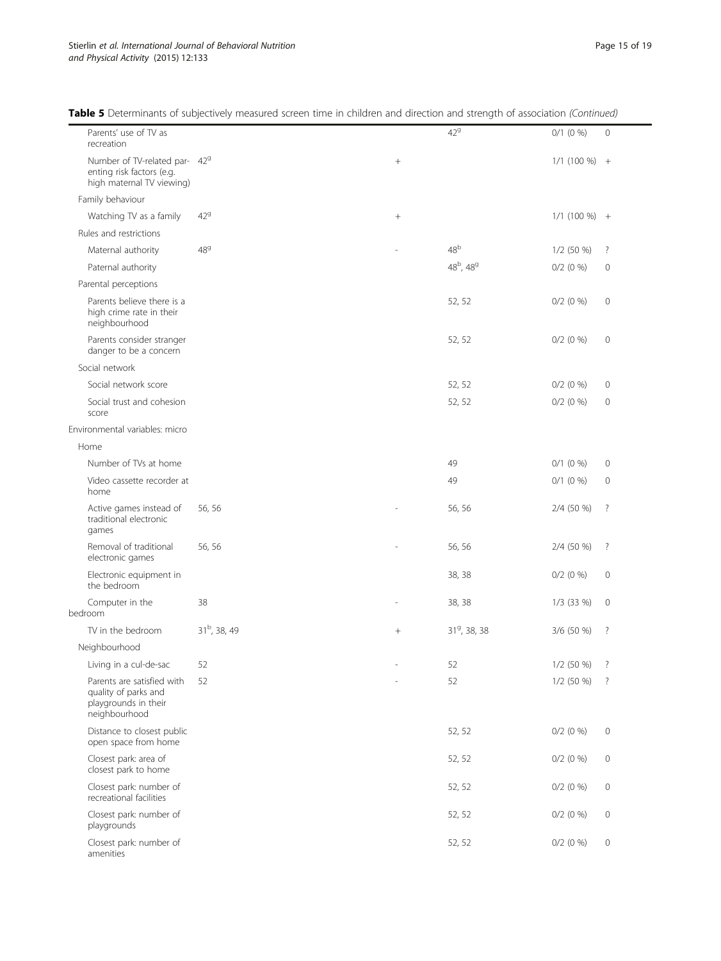| Table 5 Determinants of subjectively measured screen time in children and direction and strength of association (Continued) |  |
|-----------------------------------------------------------------------------------------------------------------------------|--|
|-----------------------------------------------------------------------------------------------------------------------------|--|

| Parents' use of TV as<br>recreation                                                                 |                          |                 | $42^9$                      | $0/1$ (0 %)     | $\circ$            |
|-----------------------------------------------------------------------------------------------------|--------------------------|-----------------|-----------------------------|-----------------|--------------------|
| Number of TV-related par- 42 <sup>9</sup><br>enting risk factors (e.g.<br>high maternal TV viewing) |                          | $^{+}$          |                             | $1/1$ (100 %) + |                    |
| Family behaviour                                                                                    |                          |                 |                             |                 |                    |
| Watching TV as a family                                                                             | $42^9$                   |                 |                             | $1/1$ (100 %) + |                    |
| Rules and restrictions                                                                              |                          |                 |                             |                 |                    |
| Maternal authority                                                                                  | 48 <sup>9</sup>          |                 | 48 <sup>b</sup>             | 1/2 (50 %)      | ?                  |
| Paternal authority                                                                                  |                          |                 | $48^{\rm b}$ , $48^{\rm g}$ | $0/2$ (0 %)     | $\mathbf 0$        |
| Parental perceptions                                                                                |                          |                 |                             |                 |                    |
| Parents believe there is a<br>high crime rate in their<br>neighbourhood                             |                          |                 | 52, 52                      | $0/2$ (0 %)     | $\mathbf 0$        |
| Parents consider stranger<br>danger to be a concern                                                 |                          |                 | 52, 52                      | $0/2$ (0 %)     | $\mathbf 0$        |
| Social network                                                                                      |                          |                 |                             |                 |                    |
| Social network score                                                                                |                          |                 | 52, 52                      | $0/2$ (0 %)     | $\mathbf 0$        |
| Social trust and cohesion<br>score                                                                  |                          |                 | 52, 52                      | $0/2$ (0 %)     | $\mathbf 0$        |
| Environmental variables: micro                                                                      |                          |                 |                             |                 |                    |
| Home                                                                                                |                          |                 |                             |                 |                    |
| Number of TVs at home                                                                               |                          |                 | 49                          | $0/1$ (0 %)     | $\mathbf 0$        |
| Video cassette recorder at<br>home                                                                  |                          |                 | 49                          | $0/1$ (0 %)     | 0                  |
| Active games instead of<br>traditional electronic<br>games                                          | 56, 56                   |                 | 56, 56                      | 2/4 (50 %)      | $\overline{\cdot}$ |
| Removal of traditional<br>electronic games                                                          | 56, 56                   |                 | 56, 56                      | 2/4 (50 %)      | $\overline{?}$     |
| Electronic equipment in<br>the bedroom                                                              |                          |                 | 38, 38                      | $0/2$ (0 %)     | $\mathbf 0$        |
| Computer in the<br>bedroom                                                                          | 38                       |                 | 38, 38                      | 1/3 (33 %)      | $\mathbf 0$        |
| TV in the bedroom                                                                                   | 31 <sup>b</sup> , 38, 49 | $\! + \!\!\!\!$ | 31 <sup>9</sup> , 38, 38    | 3/6 (50 %)      | $\overline{\cdot}$ |
| Neighbourhood                                                                                       |                          |                 |                             |                 |                    |
| Living in a cul-de-sac                                                                              | 52                       |                 | 52                          | 1/2 (50 %)      | ?                  |
| Parents are satisfied with<br>quality of parks and<br>playgrounds in their<br>neighbourhood         | 52                       |                 | 52                          | 1/2 (50 %)      | ?                  |
| Distance to closest public<br>open space from home                                                  |                          |                 | 52, 52                      | $0/2$ (0 %)     | $\mathbf 0$        |
| Closest park: area of<br>closest park to home                                                       |                          |                 | 52, 52                      | $0/2$ (0 %)     | 0                  |
| Closest park: number of<br>recreational facilities                                                  |                          |                 | 52, 52                      | $0/2$ (0 %)     | $\mathbf 0$        |
| Closest park: number of<br>playgrounds                                                              |                          |                 | 52, 52                      | $0/2$ (0 %)     | $\mathbf 0$        |
| Closest park: number of<br>amenities                                                                |                          |                 | 52, 52                      | $0/2$ (0 %)     | 0                  |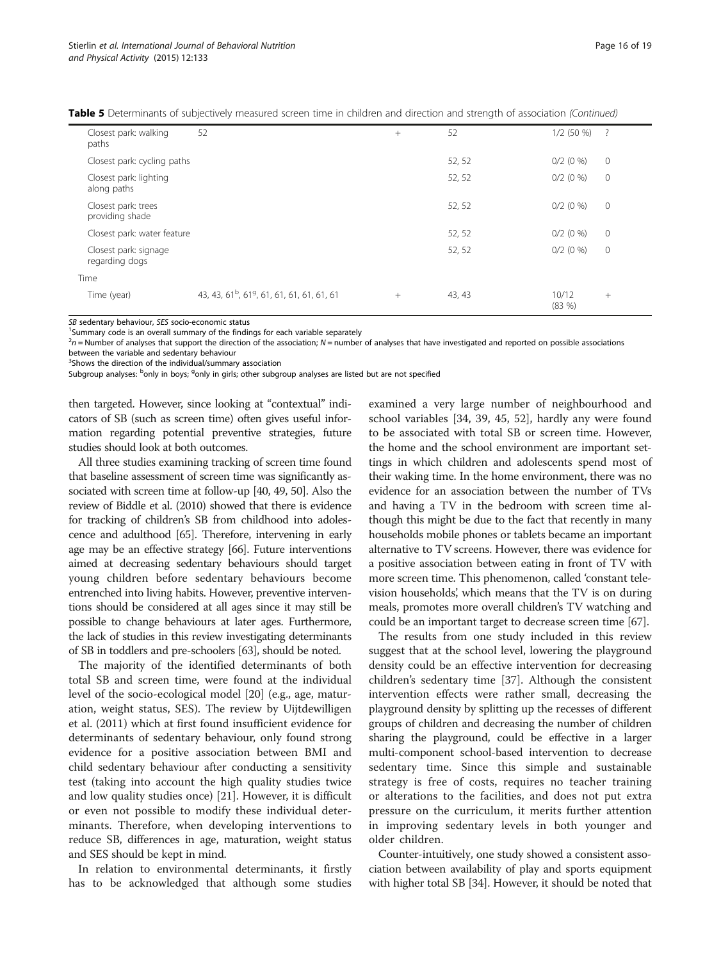| Closest park: walking<br>paths          | 52                                                                 | $^{+}$ | 52     | $1/2(50\%)$    | $\frac{1}{2}$ |
|-----------------------------------------|--------------------------------------------------------------------|--------|--------|----------------|---------------|
| Closest park: cycling paths             |                                                                    |        | 52, 52 | $0/2$ (0 %)    | $\mathbf{0}$  |
| Closest park: lighting<br>along paths   |                                                                    |        | 52, 52 | $0/2$ (0 %)    | $\mathbf{0}$  |
| Closest park: trees<br>providing shade  |                                                                    |        | 52, 52 | $0/2$ (0 %)    | $\mathbf{0}$  |
| Closest park: water feature             |                                                                    |        | 52, 52 | $0/2$ (0 %)    | $\mathbf 0$   |
| Closest park: signage<br>regarding dogs |                                                                    |        | 52, 52 | $0/2$ (0 %)    | $\mathbf{0}$  |
| Time                                    |                                                                    |        |        |                |               |
| Time (year)                             | 43, 43, 61 <sup>b</sup> , 61 <sup>9</sup> , 61, 61, 61, 61, 61, 61 | $^{+}$ | 43, 43 | 10/12<br>(83%) | $+$           |

SB sedentary behaviour, SES socio-economic status

<sup>1</sup>Summary code is an overall summary of the findings for each variable separately

 $^2$ n = Number of analyses that support the direction of the association; N = number of analyses that have investigated and reported on possible associations between the variable and sedentary behaviour

<sup>3</sup>Shows the direction of the individual/summary association

Subgroup analyses: <sup>b</sup>only in boys; <sup>g</sup>only in girls; other subgroup analyses are listed but are not specified

then targeted. However, since looking at "contextual" indicators of SB (such as screen time) often gives useful information regarding potential preventive strategies, future studies should look at both outcomes.

All three studies examining tracking of screen time found that baseline assessment of screen time was significantly associated with screen time at follow-up [\[40, 49, 50\]](#page-18-0). Also the review of Biddle et al. (2010) showed that there is evidence for tracking of children's SB from childhood into adolescence and adulthood [\[65\]](#page-18-0). Therefore, intervening in early age may be an effective strategy [\[66\]](#page-18-0). Future interventions aimed at decreasing sedentary behaviours should target young children before sedentary behaviours become entrenched into living habits. However, preventive interventions should be considered at all ages since it may still be possible to change behaviours at later ages. Furthermore, the lack of studies in this review investigating determinants of SB in toddlers and pre-schoolers [[63](#page-18-0)], should be noted.

The majority of the identified determinants of both total SB and screen time, were found at the individual level of the socio-ecological model [[20](#page-17-0)] (e.g., age, maturation, weight status, SES). The review by Uijtdewilligen et al. (2011) which at first found insufficient evidence for determinants of sedentary behaviour, only found strong evidence for a positive association between BMI and child sedentary behaviour after conducting a sensitivity test (taking into account the high quality studies twice and low quality studies once) [\[21](#page-17-0)]. However, it is difficult or even not possible to modify these individual determinants. Therefore, when developing interventions to reduce SB, differences in age, maturation, weight status and SES should be kept in mind.

In relation to environmental determinants, it firstly has to be acknowledged that although some studies examined a very large number of neighbourhood and school variables [\[34](#page-18-0), [39, 45, 52\]](#page-18-0), hardly any were found to be associated with total SB or screen time. However, the home and the school environment are important settings in which children and adolescents spend most of their waking time. In the home environment, there was no evidence for an association between the number of TVs and having a TV in the bedroom with screen time although this might be due to the fact that recently in many households mobile phones or tablets became an important alternative to TV screens. However, there was evidence for a positive association between eating in front of TV with more screen time. This phenomenon, called 'constant television households', which means that the TV is on during meals, promotes more overall children's TV watching and could be an important target to decrease screen time [[67](#page-18-0)].

The results from one study included in this review suggest that at the school level, lowering the playground density could be an effective intervention for decreasing children's sedentary time [\[37](#page-18-0)]. Although the consistent intervention effects were rather small, decreasing the playground density by splitting up the recesses of different groups of children and decreasing the number of children sharing the playground, could be effective in a larger multi-component school-based intervention to decrease sedentary time. Since this simple and sustainable strategy is free of costs, requires no teacher training or alterations to the facilities, and does not put extra pressure on the curriculum, it merits further attention in improving sedentary levels in both younger and older children.

Counter-intuitively, one study showed a consistent association between availability of play and sports equipment with higher total SB [\[34\]](#page-18-0). However, it should be noted that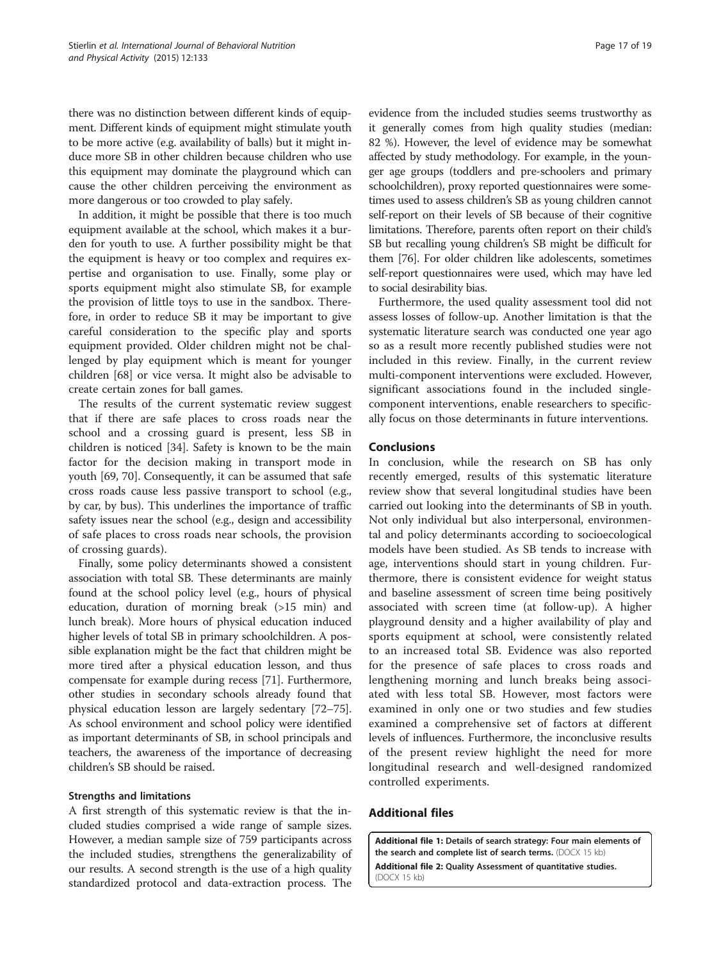<span id="page-16-0"></span>there was no distinction between different kinds of equipment. Different kinds of equipment might stimulate youth to be more active (e.g. availability of balls) but it might induce more SB in other children because children who use this equipment may dominate the playground which can cause the other children perceiving the environment as more dangerous or too crowded to play safely.

In addition, it might be possible that there is too much equipment available at the school, which makes it a burden for youth to use. A further possibility might be that the equipment is heavy or too complex and requires expertise and organisation to use. Finally, some play or sports equipment might also stimulate SB, for example the provision of little toys to use in the sandbox. Therefore, in order to reduce SB it may be important to give careful consideration to the specific play and sports equipment provided. Older children might not be challenged by play equipment which is meant for younger children [[68\]](#page-18-0) or vice versa. It might also be advisable to create certain zones for ball games.

The results of the current systematic review suggest that if there are safe places to cross roads near the school and a crossing guard is present, less SB in children is noticed [[34\]](#page-18-0). Safety is known to be the main factor for the decision making in transport mode in youth [\[69, 70\]](#page-18-0). Consequently, it can be assumed that safe cross roads cause less passive transport to school (e.g., by car, by bus). This underlines the importance of traffic safety issues near the school (e.g., design and accessibility of safe places to cross roads near schools, the provision of crossing guards).

Finally, some policy determinants showed a consistent association with total SB. These determinants are mainly found at the school policy level (e.g., hours of physical education, duration of morning break (>15 min) and lunch break). More hours of physical education induced higher levels of total SB in primary schoolchildren. A possible explanation might be the fact that children might be more tired after a physical education lesson, and thus compensate for example during recess [\[71\]](#page-18-0). Furthermore, other studies in secondary schools already found that physical education lesson are largely sedentary [\[72](#page-18-0)–[75](#page-18-0)]. As school environment and school policy were identified as important determinants of SB, in school principals and teachers, the awareness of the importance of decreasing children's SB should be raised.

# Strengths and limitations

A first strength of this systematic review is that the included studies comprised a wide range of sample sizes. However, a median sample size of 759 participants across the included studies, strengthens the generalizability of our results. A second strength is the use of a high quality standardized protocol and data-extraction process. The

evidence from the included studies seems trustworthy as it generally comes from high quality studies (median: 82 %). However, the level of evidence may be somewhat affected by study methodology. For example, in the younger age groups (toddlers and pre-schoolers and primary schoolchildren), proxy reported questionnaires were sometimes used to assess children's SB as young children cannot self-report on their levels of SB because of their cognitive limitations. Therefore, parents often report on their child's SB but recalling young children's SB might be difficult for them [\[76\]](#page-18-0). For older children like adolescents, sometimes self-report questionnaires were used, which may have led to social desirability bias.

Furthermore, the used quality assessment tool did not assess losses of follow-up. Another limitation is that the systematic literature search was conducted one year ago so as a result more recently published studies were not included in this review. Finally, in the current review multi-component interventions were excluded. However, significant associations found in the included singlecomponent interventions, enable researchers to specifically focus on those determinants in future interventions.

### Conclusions

In conclusion, while the research on SB has only recently emerged, results of this systematic literature review show that several longitudinal studies have been carried out looking into the determinants of SB in youth. Not only individual but also interpersonal, environmental and policy determinants according to socioecological models have been studied. As SB tends to increase with age, interventions should start in young children. Furthermore, there is consistent evidence for weight status and baseline assessment of screen time being positively associated with screen time (at follow-up). A higher playground density and a higher availability of play and sports equipment at school, were consistently related to an increased total SB. Evidence was also reported for the presence of safe places to cross roads and lengthening morning and lunch breaks being associated with less total SB. However, most factors were examined in only one or two studies and few studies examined a comprehensive set of factors at different levels of influences. Furthermore, the inconclusive results of the present review highlight the need for more longitudinal research and well-designed randomized controlled experiments.

# Additional files

[Additional file 1:](http://www.ijbnpa.org/content/supplementary/s12966-015-0291-4-s1.docx) Details of search strategy: Four main elements of the search and complete list of search terms. (DOCX 15 kb) [Additional file 2:](http://www.ijbnpa.org/content/supplementary/s12966-015-0291-4-s2.docx) Quality Assessment of quantitative studies. (DOCX 15 kb)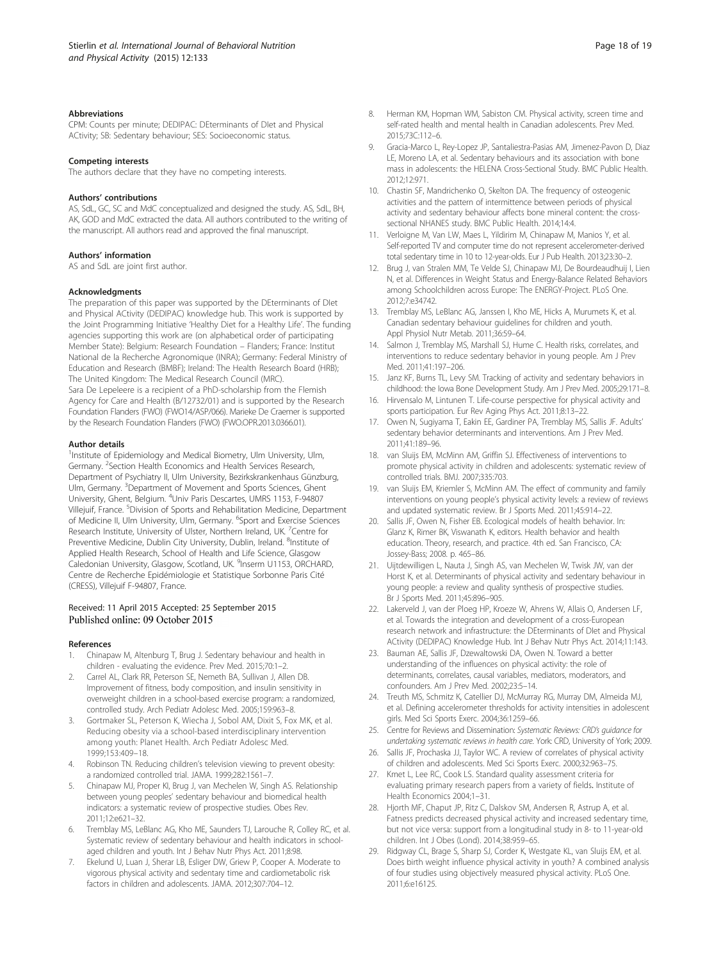### <span id="page-17-0"></span>Abbreviations

CPM: Counts per minute; DEDIPAC: DEterminants of DIet and Physical ACtivity; SB: Sedentary behaviour; SES: Socioeconomic status.

### Competing interests

The authors declare that they have no competing interests.

#### Authors' contributions

AS, SdL, GC, SC and MdC conceptualized and designed the study. AS, SdL, BH, AK, GOD and MdC extracted the data. All authors contributed to the writing of the manuscript. All authors read and approved the final manuscript.

### Authors' information

AS and SdL are joint first author.

### Acknowledgments

The preparation of this paper was supported by the DEterminants of DIet and Physical ACtivity (DEDIPAC) knowledge hub. This work is supported by the Joint Programming Initiative 'Healthy Diet for a Healthy Life'. The funding agencies supporting this work are (on alphabetical order of participating Member State): Belgium: Research Foundation – Flanders; France: Institut National de la Recherche Agronomique (INRA); Germany: Federal Ministry of Education and Research (BMBF); Ireland: The Health Research Board (HRB); The United Kingdom: The Medical Research Council (MRC). Sara De Lepeleere is a recipient of a PhD-scholarship from the Flemish Agency for Care and Health (B/12732/01) and is supported by the Research Foundation Flanders (FWO) (FWO14/ASP/066). Marieke De Craemer is supported by the Research Foundation Flanders (FWO) (FWO.OPR.2013.0366.01).

### Author details

<sup>1</sup>Institute of Epidemiology and Medical Biometry, Ulm University, Ulm, Germany. <sup>2</sup>Section Health Economics and Health Services Research, Department of Psychiatry II, Ulm University, Bezirkskrankenhaus Günzburg, Ulm, Germany. <sup>3</sup>Department of Movement and Sports Sciences, Ghent University, Ghent, Belgium. <sup>4</sup>Univ Paris Descartes, UMRS 1153, F-94807 Villejuif, France. <sup>5</sup>Division of Sports and Rehabilitation Medicine, Department of Medicine II, Ulm University, Ulm, Germany. <sup>6</sup>Sport and Exercise Sciences Research Institute, University of Ulster, Northern Ireland, UK. <sup>7</sup>Centre for Preventive Medicine, Dublin City University, Dublin, Ireland. <sup>8</sup>Institute of Applied Health Research, School of Health and Life Science, Glasgow Caledonian University, Glasgow, Scotland, UK. <sup>9</sup>Inserm U1153, ORCHARD, Centre de Recherche Epidémiologie et Statistique Sorbonne Paris Cité (CRESS), Villejuif F-94807, France.

# Received: 11 April 2015 Accepted: 25 September 2015<br>Published online: 09 October 2015

#### References

- 1. Chinapaw M, Altenburg T, Brug J. Sedentary behaviour and health in children - evaluating the evidence. Prev Med. 2015;70:1–2.
- 2. Carrel AL, Clark RR, Peterson SE, Nemeth BA, Sullivan J, Allen DB. Improvement of fitness, body composition, and insulin sensitivity in overweight children in a school-based exercise program: a randomized, controlled study. Arch Pediatr Adolesc Med. 2005;159:963–8.
- 3. Gortmaker SL, Peterson K, Wiecha J, Sobol AM, Dixit S, Fox MK, et al. Reducing obesity via a school-based interdisciplinary intervention among youth: Planet Health. Arch Pediatr Adolesc Med. 1999;153:409–18.
- 4. Robinson TN. Reducing children's television viewing to prevent obesity: a randomized controlled trial. JAMA. 1999;282:1561–7.
- 5. Chinapaw MJ, Proper KI, Brug J, van Mechelen W, Singh AS. Relationship between young peoples' sedentary behaviour and biomedical health indicators: a systematic review of prospective studies. Obes Rev. 2011;12:e621–32.
- Tremblay MS, LeBlanc AG, Kho ME, Saunders TJ, Larouche R, Colley RC, et al. Systematic review of sedentary behaviour and health indicators in schoolaged children and youth. Int J Behav Nutr Phys Act. 2011;8:98.
- 7. Ekelund U, Luan J, Sherar LB, Esliger DW, Griew P, Cooper A. Moderate to vigorous physical activity and sedentary time and cardiometabolic risk factors in children and adolescents. JAMA. 2012;307:704–12.
- Herman KM, Hopman WM, Sabiston CM. Physical activity, screen time and self-rated health and mental health in Canadian adolescents. Prev Med. 2015;73C:112–6.
- 9. Gracia-Marco L, Rey-Lopez JP, Santaliestra-Pasias AM, Jimenez-Pavon D, Diaz LE, Moreno LA, et al. Sedentary behaviours and its association with bone mass in adolescents: the HELENA Cross-Sectional Study. BMC Public Health. 2012;12:971.
- 10. Chastin SF, Mandrichenko O, Skelton DA. The frequency of osteogenic activities and the pattern of intermittence between periods of physical activity and sedentary behaviour affects bone mineral content: the crosssectional NHANES study. BMC Public Health. 2014;14:4.
- 11. Verloigne M, Van LW, Maes L, Yildirim M, Chinapaw M, Manios Y, et al. Self-reported TV and computer time do not represent accelerometer-derived total sedentary time in 10 to 12-year-olds. Eur J Pub Health. 2013;23:30–2.
- 12. Brug J, van Stralen MM, Te Velde SJ, Chinapaw MJ, De Bourdeaudhuij I, Lien N, et al. Differences in Weight Status and Energy-Balance Related Behaviors among Schoolchildren across Europe: The ENERGY-Project. PLoS One. 2012;7:e34742.
- 13. Tremblay MS, LeBlanc AG, Janssen I, Kho ME, Hicks A, Murumets K, et al. Canadian sedentary behaviour guidelines for children and youth. Appl Physiol Nutr Metab. 2011;36:59–64.
- 14. Salmon J, Tremblay MS, Marshall SJ, Hume C. Health risks, correlates, and interventions to reduce sedentary behavior in young people. Am J Prev Med. 2011;41:197–206.
- 15. Janz KF, Burns TL, Levy SM. Tracking of activity and sedentary behaviors in childhood: the Iowa Bone Development Study. Am J Prev Med. 2005;29:171–8.
- 16. Hirvensalo M, Lintunen T. Life-course perspective for physical activity and sports participation. Eur Rev Aging Phys Act. 2011;8:13–22.
- 17. Owen N, Sugiyama T, Eakin EE, Gardiner PA, Tremblay MS, Sallis JF. Adults' sedentary behavior determinants and interventions. Am J Prev Med. 2011;41:189–96.
- 18. van Sluijs EM, McMinn AM, Griffin SJ. Effectiveness of interventions to promote physical activity in children and adolescents: systematic review of controlled trials. BMJ. 2007;335:703.
- 19. van Sluijs EM, Kriemler S, McMinn AM. The effect of community and family interventions on young people's physical activity levels: a review of reviews and updated systematic review. Br J Sports Med. 2011;45:914–22.
- 20. Sallis JF, Owen N, Fisher EB. Ecological models of health behavior. In: Glanz K, Rimer BK, Viswanath K, editors. Health behavior and health education. Theory, research, and practice. 4th ed. San Francisco, CA: Jossey-Bass; 2008. p. 465–86.
- 21. Uijtdewilligen L, Nauta J, Singh AS, van Mechelen W, Twisk JW, van der Horst K, et al. Determinants of physical activity and sedentary behaviour in young people: a review and quality synthesis of prospective studies. Br J Sports Med. 2011;45:896–905.
- 22. Lakerveld J, van der Ploeg HP, Kroeze W, Ahrens W, Allais O, Andersen LF, et al. Towards the integration and development of a cross-European research network and infrastructure: the DEterminants of DIet and Physical ACtivity (DEDIPAC) Knowledge Hub. Int J Behav Nutr Phys Act. 2014;11:143.
- 23. Bauman AE, Sallis JF, Dzewaltowski DA, Owen N. Toward a better understanding of the influences on physical activity: the role of determinants, correlates, causal variables, mediators, moderators, and confounders. Am J Prev Med. 2002;23:5–14.
- 24. Treuth MS, Schmitz K, Catellier DJ, McMurray RG, Murray DM, Almeida MJ, et al. Defining accelerometer thresholds for activity intensities in adolescent girls. Med Sci Sports Exerc. 2004;36:1259–66.
- 25. Centre for Reviews and Dissemination: Systematic Reviews: CRD's guidance for undertaking systematic reviews in health care. York: CRD, University of York; 2009.
- 26. Sallis JF, Prochaska JJ, Taylor WC. A review of correlates of physical activity of children and adolescents. Med Sci Sports Exerc. 2000;32:963–75.
- 27. Kmet L, Lee RC, Cook LS. Standard quality assessment criteria for evaluating primary research papers from a variety of fields. Institute of Health Economics 2004;1–31.
- 28. Hjorth MF, Chaput JP, Ritz C, Dalskov SM, Andersen R, Astrup A, et al. Fatness predicts decreased physical activity and increased sedentary time, but not vice versa: support from a longitudinal study in 8- to 11-year-old children. Int J Obes (Lond). 2014;38:959–65.
- 29. Ridgway CL, Brage S, Sharp SJ, Corder K, Westgate KL, van Sluijs EM, et al. Does birth weight influence physical activity in youth? A combined analysis of four studies using objectively measured physical activity. PLoS One. 2011;6:e16125.